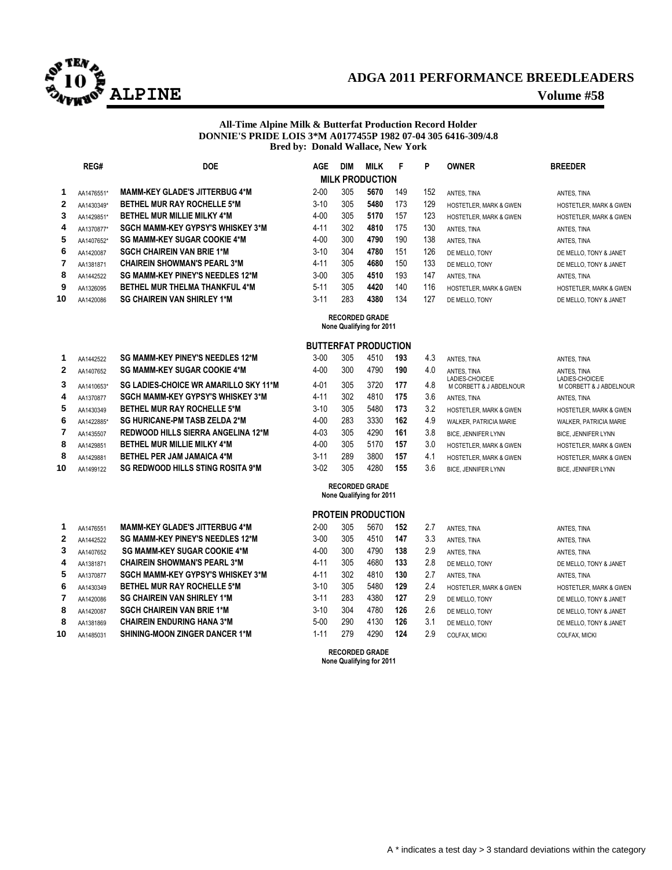

## **ADGA 2011 PERFORMANCE BREEDLEADERS ALPINE Volume #58**

### **All-Time Alpine Milk & Butterfat Production Record Holder DONNIE'S PRIDE LOIS 3\*M A0177455P 1982 07-04 305 6416-309/4.8 Bred by: Donald Wallace, New York**

|              | REG#       | <b>DOE</b>                               | <b>AGE</b> | <b>DIM</b> | <b>MILK</b>            | F   | P   | <b>OWNER</b>                      | <b>BREEDER</b>                    |
|--------------|------------|------------------------------------------|------------|------------|------------------------|-----|-----|-----------------------------------|-----------------------------------|
|              |            |                                          |            |            | <b>MILK PRODUCTION</b> |     |     |                                   |                                   |
|              | AA1476551* | <b>MAMM-KEY GLADE'S JITTERBUG 4*M</b>    | $2 - 00$   | 305        | 5670                   | 149 | 152 | ANTES. TINA                       | ANTES, TINA                       |
| $\mathbf{2}$ | AA1430349* | <b>BETHEL MUR RAY ROCHELLE 5*M</b>       | $3-10$     | 305        | 5480                   | 173 | 129 | <b>HOSTETLER, MARK &amp; GWEN</b> | <b>HOSTETLER, MARK &amp; GWEN</b> |
| 3            | AA1429851* | <b>BETHEL MUR MILLIE MILKY 4*M</b>       | $4 - 00$   | 305        | 5170                   | 157 | 123 | <b>HOSTETLER, MARK &amp; GWEN</b> | <b>HOSTETLER, MARK &amp; GWEN</b> |
| 4            | AA1370877* | <b>SGCH MAMM-KEY GYPSY'S WHISKEY 3*M</b> | $4 - 11$   | 302        | 4810                   | 175 | 130 | ANTES, TINA                       | ANTES, TINA                       |
| 5            | AA1407652* | <b>SG MAMM-KEY SUGAR COOKIE 4*M</b>      | $4 - 00$   | 300        | 4790                   | 190 | 138 | ANTES. TINA                       | ANTES, TINA                       |
| 6            | AA1420087  | <b>SGCH CHAIREIN VAN BRIE 1*M</b>        | $3-10$     | 304        | 4780                   | 151 | 126 | DE MELLO. TONY                    | DE MELLO, TONY & JANET            |
| 7            | AA1381871  | <b>CHAIREIN SHOWMAN'S PEARL 3*M</b>      | $4 - 11$   | 305        | 4680                   | 150 | 133 | DE MELLO. TONY                    | DE MELLO, TONY & JANET            |
| 8            | AA1442522  | <b>SG MAMM-KEY PINEY'S NEEDLES 12*M</b>  | $3 - 00$   | 305        | 4510                   | 193 | 147 | ANTES, TINA                       | ANTES, TINA                       |
| 9            | AA1326095  | <b>BETHEL MUR THELMA THANKFUL 4*M</b>    | $5 - 11$   | 305        | 4420                   | 140 | 116 | <b>HOSTETLER, MARK &amp; GWEN</b> | <b>HOSTETLER, MARK &amp; GWEN</b> |
| 10           | AA1420086  | <b>SG CHAIREIN VAN SHIRLEY 1*M</b>       | $3 - 11$   | 283        | 4380                   | 134 | 127 | DE MELLO. TONY                    | DE MELLO, TONY & JANET            |
|              |            |                                          |            |            | <b>RECORDED GRADE</b>  |     |     |                                   |                                   |

## **None Qualifying for 2011**

### **BUTTERFAT PRODUCTION**

| 1            | AA1442522  | SG MAMM KEY PINEY'S NEEDLES 12*M          | 3-00     | 305 | 4510 | 193 | 4.3 |
|--------------|------------|-------------------------------------------|----------|-----|------|-----|-----|
| $\mathbf{2}$ | AA1407652  | <b>SG MAMM-KEY SUGAR COOKIE 4*M</b>       | $4 - 00$ | 300 | 4790 | 190 | 4.0 |
| 3            | AA1410653* | SG LADIES-CHOICE WR AMARILLO SKY 11*M     | $4 - 01$ | 305 | 3720 | 177 | 4.8 |
| 4            | AA1370877  | <b>SGCH MAMM-KEY GYPSY'S WHISKEY 3*M</b>  | $4 - 11$ | 302 | 4810 | 175 | 3.6 |
| 5            | AA1430349  | <b>BETHEL MUR RAY ROCHELLE 5*M</b>        | $3-10$   | 305 | 5480 | 173 | 3.2 |
| 6            | AA1422885* | <b>SG HURICANE-PM TASB ZELDA 2*M</b>      | $4 - 00$ | 283 | 3330 | 162 | 4.9 |
| 7            | AA1435507  | <b>REDWOOD HILLS SIERRA ANGELINA 12*M</b> | $4 - 03$ | 305 | 4290 | 161 | 3.8 |
| 8            | AA1429851  | <b>BETHEL MUR MILLIE MILKY 4*M</b>        | $4 - 00$ | 305 | 5170 | 157 | 3.0 |
| 8            | AA1429881  | <b>BETHEL PER JAM JAMAICA 4*M</b>         | $3 - 11$ | 289 | 3800 | 157 | 4.1 |
| 10           | AA1499122  | <b>SG REDWOOD HILLS STING ROSITA 9*M</b>  | $3-02$   | 305 | 4280 | 155 | 3.6 |
|              |            |                                           |          |     |      |     |     |

| 1  | AA1476551 | <b>MAMM-KEY GLADE'S JITTERBUG 4*M</b>    |
|----|-----------|------------------------------------------|
| 2  | AA1442522 | <b>SG MAMM-KEY PINEY'S NEEDLES 12*M</b>  |
| 3  | AA1407652 | <b>SG MAMM-KEY SUGAR COOKIE 4*M</b>      |
| 4  | AA1381871 | <b>CHAIREIN SHOWMAN'S PEARL 3*M</b>      |
| 5  | AA1370877 | <b>SGCH MAMM-KEY GYPSY'S WHISKEY 3*M</b> |
| 6  | AA1430349 | <b>BETHEL MUR RAY ROCHELLE 5*M</b>       |
| 7  | AA1420086 | <b>SG CHAIREIN VAN SHIRLEY 1*M</b>       |
| 8  | AA1420087 | <b>SGCH CHAIREIN VAN BRIE 1*M</b>        |
| 8  | AA1381869 | <b>CHAIREIN ENDURING HANA 3*M</b>        |
| 10 | AA1485031 | <b>SHINING-MOON ZINGER DANCER 1*M</b>    |

|    | AA1442522  | <b>SG MAMM-KEY PINEY'S NEEDLES 12*M</b>  | $3 - 00$ | 305 | 4510 | 193 | 4.3 | ANTES, TINA                                | ANTES, TINA                                |
|----|------------|------------------------------------------|----------|-----|------|-----|-----|--------------------------------------------|--------------------------------------------|
| 2  | AA1407652  | <b>SG MAMM-KEY SUGAR COOKIE 4*M</b>      | $4 - 00$ | 300 | 4790 | 190 | 4.0 | ANTES. TINA                                | ANTES, TINA                                |
| 3  | AA1410653* | SG LADIES-CHOICE WR AMARILLO SKY 11*M    | $4 - 01$ | 305 | 3720 | 177 | 4.8 | LADIES-CHOICE/E<br>M CORBETT & J ABDELNOUR | LADIES-CHOICE/E<br>M CORBETT & J ABDELNOUR |
| 4  | AA1370877  | <b>SGCH MAMM-KEY GYPSY'S WHISKEY 3*M</b> | $4 - 11$ | 302 | 4810 | 175 | 3.6 | ANTES, TINA                                | ANTES, TINA                                |
| 5  | AA1430349  | <b>BETHEL MUR RAY ROCHELLE 5*M</b>       | $3 - 10$ | 305 | 5480 | 173 | 3.2 | <b>HOSTETLER, MARK &amp; GWEN</b>          | <b>HOSTETLER, MARK &amp; GWEN</b>          |
| 6  | AA1422885* | <b>SG HURICANE-PM TASB ZELDA 2*M</b>     | $4 - 00$ | 283 | 3330 | 162 | 4.9 | WALKER, PATRICIA MARIE                     | <b>WALKER, PATRICIA MARIE</b>              |
|    | AA1435507  | REDWOOD HILLS SIERRA ANGELINA 12*M       | $4 - 03$ | 305 | 4290 | 161 | 3.8 | <b>BICE, JENNIFER LYNN</b>                 | <b>BICE, JENNIFER LYNN</b>                 |
| 8  | AA1429851  | <b>BETHEL MUR MILLIE MILKY 4*M</b>       | 4-00     | 305 | 5170 | 157 | 3.0 | <b>HOSTETLER, MARK &amp; GWEN</b>          | <b>HOSTETLER, MARK &amp; GWEN</b>          |
| 8  | AA1429881  | <b>BETHEL PER JAM JAMAICA 4*M</b>        | $3 - 11$ | 289 | 3800 | 157 | 4.1 | <b>HOSTETLER, MARK &amp; GWEN</b>          | <b>HOSTETLER, MARK &amp; GWEN</b>          |
| 10 | AA1499122  | <b>SG REDWOOD HILLS STING ROSITA 9*M</b> | $3-02$   | 305 | 4280 | 155 | 3.6 | <b>BICE, JENNIFER LYNN</b>                 | <b>BICE, JENNIFER LYNN</b>                 |

#### **RECORDED GRADE None Qualifying for 2011**

## **PROTEIN PRODUCTION**

|   | AA1476551 | <b>MAMM-KEY GLADE'S JITTERBUG 4*M</b>   | $2 - 00$ | 305 | 5670 | 152 | 2.7 | ANTES, TINA                       | ANTES. TINA                       |
|---|-----------|-----------------------------------------|----------|-----|------|-----|-----|-----------------------------------|-----------------------------------|
| 2 | AA1442522 | <b>SG MAMM-KEY PINEY'S NEEDLES 12*M</b> | $3 - 00$ | 305 | 4510 | 147 | 3.3 | ANTES, TINA                       | ANTES. TINA                       |
| 3 | AA1407652 | <b>SG MAMM-KEY SUGAR COOKIE 4*M</b>     | $4 - 00$ | 300 | 4790 | 138 | 2.9 | ANTES, TINA                       | ANTES. TINA                       |
| 4 | AA1381871 | <b>CHAIREIN SHOWMAN'S PEARL 3*M</b>     | $4 - 11$ | 305 | 4680 | 133 | 2.8 | DE MELLO. TONY                    | DE MELLO, TONY & JANET            |
| 5 | AA1370877 | SGCH MAMM-KEY GYPSY'S WHISKEY 3*M       | $4 - 11$ | 302 | 4810 | 130 | 2.7 | ANTES, TINA                       | ANTES. TINA                       |
| 6 | AA1430349 | <b>BETHEL MUR RAY ROCHELLE 5*M</b>      | $3 - 10$ | 305 | 5480 | 129 | 2.4 | <b>HOSTETLER, MARK &amp; GWEN</b> | <b>HOSTETLER, MARK &amp; GWEN</b> |
|   | AA1420086 | <b>SG CHAIREIN VAN SHIRLEY 1*M</b>      | $3 - 11$ | 283 | 4380 | 127 | 2.9 | DE MELLO. TONY                    | DE MELLO, TONY & JANET            |
| 8 | AA1420087 | <b>SGCH CHAIREIN VAN BRIE 1*M</b>       | $3 - 10$ | 304 | 4780 | 126 | 2.6 | DE MELLO. TONY                    | DE MELLO, TONY & JANET            |
| 8 | AA1381869 | <b>CHAIREIN ENDURING HANA 3*M</b>       | $5 - 00$ | 290 | 4130 | 126 | 3.1 | DE MELLO. TONY                    | DE MELLO, TONY & JANET            |
| 0 | AA1485031 | <b>SHINING-MOON ZINGER DANCER 1*M</b>   | 1-11     | 279 | 4290 | 124 | 2.9 | COLFAX. MICKI                     | <b>COLFAX. MICKI</b>              |
|   |           |                                         |          |     |      |     |     |                                   |                                   |

**RECORDED GRADE None Qualifying for 2011**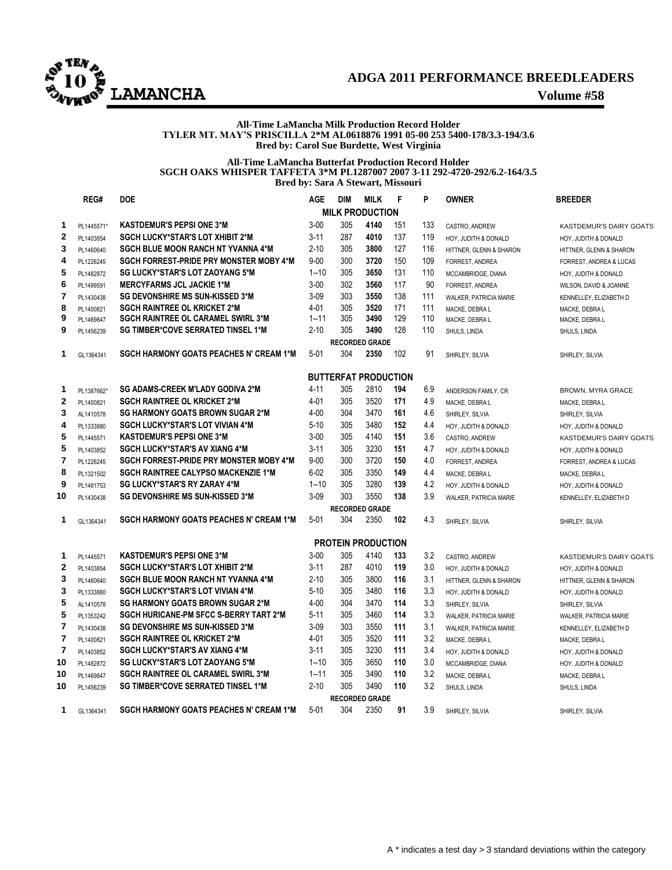

## **ADGA 2011 PERFORMANCE BREEDLEADERS LAMANCHA Volume #58**

#### **All-Time LaMancha Milk Production Record Holder TYLER MT. MAY'S PRISCILLA 2\*M AL0618876 1991 05-00 253 5400-178/3.3-194/3.6 Bred by: Carol Sue Burdette, West Virginia**

#### **All-Time LaMancha Butterfat Production Record Holder SGCH OAKS WHISPER TAFFETA 3\*M PL1287007 2007 3-11 292-4720-292/6.2-164/3.5 Bred by: Sara A Stewart, Missouri**

|                | REG#       | <b>DOE</b>                                     | <b>AGE</b> | <b>DIM</b> | <b>MILK</b>                 | F   | P   | <b>OWNER</b>            | <b>BREEDER</b>                 |
|----------------|------------|------------------------------------------------|------------|------------|-----------------------------|-----|-----|-------------------------|--------------------------------|
|                |            |                                                |            |            | <b>MILK PRODUCTION</b>      |     |     |                         |                                |
| 1              | PL1445571* | <b>KASTDEMUR'S PEPSI ONE 3*M</b>               | $3 - 00$   | 305        | 4140                        | 151 | 133 | CASTRO, ANDREW          | <b>KASTDEMUR'S DAIRY GOATS</b> |
| $\mathbf{2}$   | PL1403854  | SGCH LUCKY*STAR'S LOT XHIBIT 2*M               | $3 - 11$   | 287        | 4010                        | 137 | 119 | HOY, JUDITH & DONALD    | HOY, JUDITH & DONALD           |
| 3              | PL1460640  | <b>SGCH BLUE MOON RANCH NT YVANNA 4*M</b>      | $2 - 10$   | 305        | 3800                        | 127 | 116 | HITTNER, GLENN & SHARON | HITTNER, GLENN & SHARON        |
| 4              | PL1226245  | <b>SGCH FORREST-PRIDE PRY MONSTER MOBY 4*M</b> | $9 - 00$   | 300        | 3720                        | 150 | 109 | <b>FORREST, ANDREA</b>  | FORREST, ANDREA & LUCAS        |
| 5              | PL1482872  | <b>SG LUCKY*STAR'S LOT ZAOYANG 5*M</b>         | $1 - 10$   | 305        | 3650                        | 131 | 110 | MCCAMBRIDGE, DIANA      | HOY, JUDITH & DONALD           |
| 6              | PL1499591  | <b>MERCYFARMS JCL JACKIE 1*M</b>               | $3 - 00$   | 302        | 3560                        | 117 | 90  | FORREST, ANDREA         | WILSON, DAVID & JOANNE         |
| $\overline{7}$ | PL1430438  | <b>SG DEVONSHIRE MS SUN-KISSED 3*M</b>         | $3 - 09$   | 303        | 3550                        | 138 | 111 | WALKER, PATRICIA MARIE  | KENNELLEY, ELIZABETH D         |
| 8              | PL1400821  | <b>SGCH RAINTREE OL KRICKET 2*M</b>            | $4 - 01$   | 305        | 3520                        | 171 | 111 | MACKE, DEBRA L          | MACKE, DEBRA L                 |
| 9              | PL1469847  | SGCH RAINTREE OL CARAMEL SWIRL 3*M             | $1 - 11$   | 305        | 3490                        | 129 | 110 | MACKE, DEBRA L          | MACKE, DEBRA L                 |
| 9              | PL1456239  | <b>SG TIMBER*COVE SERRATED TINSEL 1*M</b>      | $2 - 10$   | 305        | 3490                        | 128 | 110 | SHULS, LINDA            | SHULS, LINDA                   |
|                |            |                                                |            |            | <b>RECORDED GRADE</b>       |     |     |                         |                                |
| 1              | GL1364341  | <b>SGCH HARMONY GOATS PEACHES N' CREAM 1*M</b> | $5 - 01$   | 304        | 2350                        | 102 | 91  | SHIRLEY, SILVIA         | SHIRLEY, SILVIA                |
|                |            |                                                |            |            | <b>BUTTERFAT PRODUCTION</b> |     |     |                         |                                |
| 1              | PL1387662* | <b>SG ADAMS-CREEK M'LADY GODIVA 2*M</b>        | $4 - 11$   | 305        | 2810                        | 194 | 6.9 | ANDERSON FAMILY, CR     | <b>BROWN, MYRA GRACE</b>       |
| $\overline{2}$ | PL1400821  | <b>SGCH RAINTREE OL KRICKET 2*M</b>            | $4 - 01$   | 305        | 3520                        | 171 | 4.9 | MACKE, DEBRA L          | MACKE, DEBRA L                 |
| 3              | AL1410578  | <b>SG HARMONY GOATS BROWN SUGAR 2*M</b>        | $4 - 00$   | 304        | 3470                        | 161 | 4.6 | SHIRLEY, SILVIA         | SHIRLEY, SILVIA                |
| 4              | PL1333880  | SGCH LUCKY*STAR'S LOT VIVIAN 4*M               | $5-10$     | 305        | 3480                        | 152 | 4.4 | HOY, JUDITH & DONALD    | HOY, JUDITH & DONALD           |
| 5              | PL1445571  | <b>KASTDEMUR'S PEPSI ONE 3*M</b>               | $3 - 00$   | 305        | 4140                        | 151 | 3.6 | CASTRO, ANDREW          | KASTDEMUR'S DAIRY GOATS        |
| 5              | PL1403852  | <b>SGCH LUCKY*STAR'S AV XIANG 4*M</b>          | $3 - 11$   | 305        | 3230                        | 151 | 4.7 | HOY, JUDITH & DONALD    | HOY, JUDITH & DONALD           |
| 7              | PL1226245  | SGCH FORREST-PRIDE PRY MONSTER MOBY 4*M        | $9 - 00$   | 300        | 3720                        | 150 | 4.0 | FORREST, ANDREA         | FORREST, ANDREA & LUCAS        |
| 8              | PL1321502  | <b>SGCH RAINTREE CALYPSO MACKENZIE 1*M</b>     | $6 - 02$   | 305        | 3350                        | 149 | 4.4 | MACKE, DEBRA L          | MACKE, DEBRA L                 |
| 9              | PL1481753  | <b>SG LUCKY*STAR'S RY ZARAY 4*M</b>            | $1 - 10$   | 305        | 3280                        | 139 | 4.2 | HOY, JUDITH & DONALD    | HOY, JUDITH & DONALD           |
| 10             | PL1430438  | <b>SG DEVONSHIRE MS SUN-KISSED 3*M</b>         | $3 - 09$   | 303        | 3550                        | 138 | 3.9 | WALKER, PATRICIA MARIE  | KENNELLEY, ELIZABETH D         |
|                |            |                                                |            |            | <b>RECORDED GRADE</b>       |     |     |                         |                                |
| 1              | GL1364341  | <b>SGCH HARMONY GOATS PEACHES N' CREAM 1*M</b> | $5 - 01$   | 304        | 2350                        | 102 | 4.3 | SHIRLEY, SILVIA         | SHIRLEY, SILVIA                |
|                |            |                                                |            |            | <b>PROTEIN PRODUCTION</b>   |     |     |                         |                                |
| 1              | PL1445571  | <b>KASTDEMUR'S PEPSI ONE 3*M</b>               | $3 - 00$   | 305        | 4140                        | 133 | 3.2 | CASTRO, ANDREW          | <b>KASTDEMUR'S DAIRY GOATS</b> |
| $\mathbf{2}$   | PL1403854  | SGCH LUCKY*STAR'S LOT XHIBIT 2*M               | $3 - 11$   | 287        | 4010                        | 119 | 3.0 | HOY, JUDITH & DONALD    | HOY, JUDITH & DONALD           |
| 3              | PL1460640  | <b>SGCH BLUE MOON RANCH NT YVANNA 4*M</b>      | $2 - 10$   | 305        | 3800                        | 116 | 3.1 | HITTNER, GLENN & SHARON | HITTNER, GLENN & SHARON        |
| 3              | PL1333880  | <b>SGCH LUCKY*STAR'S LOT VIVIAN 4*M</b>        | $5 - 10$   | 305        | 3480                        | 116 | 3.3 | HOY, JUDITH & DONALD    | HOY, JUDITH & DONALD           |
| 5              | AL1410578  | <b>SG HARMONY GOATS BROWN SUGAR 2*M</b>        | $4 - 00$   | 304        | 3470                        | 114 | 3.3 | SHIRLEY, SILVIA         | SHIRLEY, SILVIA                |
| 5              | PL1353242  | <b>SGCH HURICANE-PM SFCC S-BERRY TART 2*M</b>  | 5-11       | 305        | 3460                        | 114 | 3.3 | WALKER, PATRICIA MARIE  | WALKER, PATRICIA MARIE         |
| 7              | PL1430438  | <b>SG DEVONSHIRE MS SUN-KISSED 3*M</b>         | $3 - 09$   | 303        | 3550                        | 111 | 3.1 | WALKER, PATRICIA MARIE  | KENNELLEY, ELIZABETH D         |
| $\overline{7}$ | PL1400821  | <b>SGCH RAINTREE OL KRICKET 2*M</b>            | $4 - 01$   | 305        | 3520                        | 111 | 3.2 | MACKE, DEBRA L          | MACKE, DEBRA L                 |
| 7              | PL1403852  | <b>SGCH LUCKY*STAR'S AV XIANG 4*M</b>          | $3 - 11$   | 305        | 3230                        | 111 | 3.4 | HOY, JUDITH & DONALD    | HOY, JUDITH & DONALD           |
| 10             | PL1482872  | <b>SG LUCKY*STAR'S LOT ZAOYANG 5*M</b>         | $1 - 10$   | 305        | 3650                        | 110 | 3.0 | MCCAMBRIDGE, DIANA      | HOY, JUDITH & DONALD           |
| 10             | PL1469847  | <b>SGCH RAINTREE OL CARAMEL SWIRL 3*M</b>      | 1--11      | 305        | 3490                        | 110 | 3.2 | MACKE, DEBRA L          | MACKE, DEBRA L                 |
| 10             | PL1456239  | <b>SG TIMBER*COVE SERRATED TINSEL 1*M</b>      | $2 - 10$   | 305        | 3490                        | 110 | 3.2 | SHULS, LINDA            | SHULS, LINDA                   |
|                |            |                                                |            |            | <b>RECORDED GRADE</b>       |     |     |                         |                                |
| 1              | GL1364341  | <b>SGCH HARMONY GOATS PEACHES N' CREAM 1*M</b> | $5 - 01$   | 304        | 2350                        | 91  | 3.9 | SHIRLEY, SILVIA         | SHIRLEY, SILVIA                |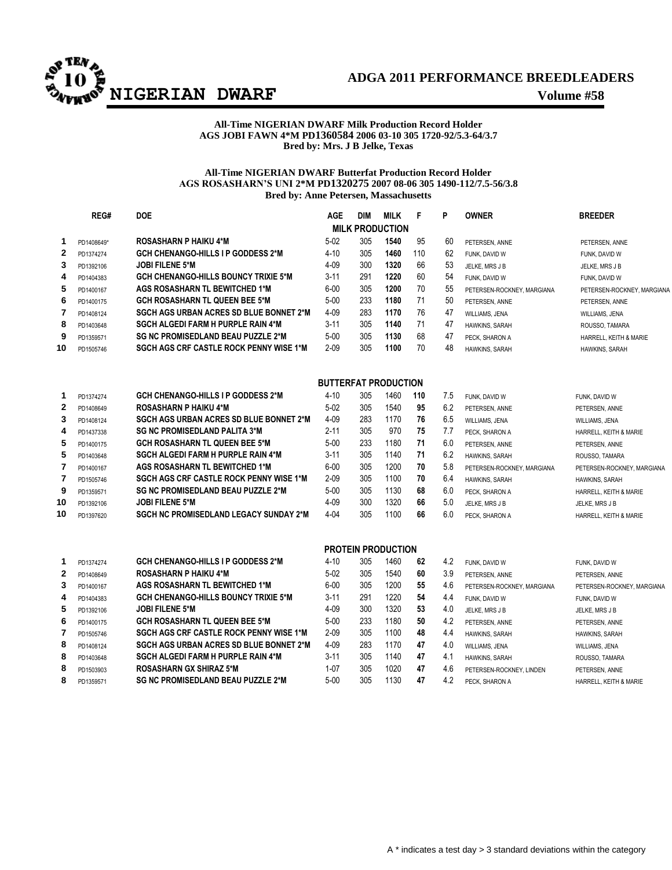

## **ADGA 2011 PERFORMANCE BREEDLEADERS**

## **All-Time NIGERIAN DWARF Milk Production Record Holder AGS JOBI FAWN 4\*M PD1360584 2006 03-10 305 1720-92/5.3-64/3.7 Bred by: Mrs. J B Jelke, Texas**

## **All-Time NIGERIAN DWARF Butterfat Production Record Holder AGS ROSASHARN'S UNI 2\*M PD1320275 2007 08-06 305 1490-112/7.5-56/3.8 Bred by: Anne Petersen, Massachusetts**

|                | REG#       | <b>DOE</b>                                     | <b>AGE</b>                  | <b>DIM</b> | <b>MILK</b>               | F   | P   | <b>OWNER</b>               | <b>BREEDER</b>             |
|----------------|------------|------------------------------------------------|-----------------------------|------------|---------------------------|-----|-----|----------------------------|----------------------------|
|                |            |                                                |                             |            | <b>MILK PRODUCTION</b>    |     |     |                            |                            |
| 1              | PD1408649* | <b>ROSASHARN P HAIKU 4*M</b>                   | $5-02$                      | 305        | 1540                      | 95  | 60  | PETERSEN, ANNE             | PETERSEN, ANNE             |
| $\mathbf{2}$   | PD1374274  | <b>GCH CHENANGO-HILLS I P GODDESS 2*M</b>      | $4 - 10$                    | 305        | 1460                      | 110 | 62  | FUNK, DAVID W              | FUNK, DAVID W              |
| 3              | PD1392106  | <b>JOBI FILENE 5*M</b>                         | $4 - 09$                    | 300        | 1320                      | 66  | 53  | JELKE, MRS J B             | JELKE, MRS J B             |
| 4              | PD1404383  | <b>GCH CHENANGO-HILLS BOUNCY TRIXIE 5*M</b>    | $3 - 11$                    | 291        | 1220                      | 60  | 54  | FUNK, DAVID W              | FUNK, DAVID W              |
| 5              | PD1400167  | <b>AGS ROSASHARN TL BEWITCHED 1*M</b>          | $6 - 00$                    | 305        | 1200                      | 70  | 55  | PETERSEN-ROCKNEY, MARGIANA | PETERSEN-ROCKNEY, MARGIANA |
| 6              | PD1400175  | <b>GCH ROSASHARN TL QUEEN BEE 5*M</b>          | $5 - 00$                    | 233        | 1180                      | 71  | 50  | PETERSEN, ANNE             | PETERSEN, ANNE             |
| 7              | PD1408124  | <b>SGCH AGS URBAN ACRES SD BLUE BONNET 2*M</b> | $4 - 09$                    | 283        | 1170                      | 76  | 47  | WILLIAMS, JENA             | WILLIAMS, JENA             |
| 8              | PD1403648  | <b>SGCH ALGEDI FARM H PURPLE RAIN 4*M</b>      | $3 - 11$                    | 305        | 1140                      | 71  | 47  | HAWKINS, SARAH             | ROUSSO, TAMARA             |
| 9              | PD1359571  | <b>SG NC PROMISEDLAND BEAU PUZZLE 2*M</b>      | $5 - 00$                    | 305        | 1130                      | 68  | 47  | PECK, SHARON A             | HARRELL, KEITH & MARIE     |
| 10             | PD1505746  | <b>SGCH AGS CRF CASTLE ROCK PENNY WISE 1*M</b> | $2 - 09$                    | 305        | 1100                      | 70  | 48  | HAWKINS, SARAH             | HAWKINS, SARAH             |
|                |            |                                                | <b>BUTTERFAT PRODUCTION</b> |            |                           |     |     |                            |                            |
| 1              | PD1374274  | <b>GCH CHENANGO-HILLS I P GODDESS 2*M</b>      | $4 - 10$                    | 305        | 1460                      | 110 | 7.5 | FUNK, DAVID W              | FUNK, DAVID W              |
| $\mathbf{2}$   | PD1408649  | <b>ROSASHARN P HAIKU 4*M</b>                   | $5-02$                      | 305        | 1540                      | 95  | 6.2 | PETERSEN, ANNE             | PETERSEN, ANNE             |
| 3              | PD1408124  | SGCH AGS URBAN ACRES SD BLUE BONNET 2*M        | $4 - 09$                    | 283        | 1170                      | 76  | 6.5 | WILLIAMS, JENA             | WILLIAMS, JENA             |
| 4              | PD1437338  | <b>SG NC PROMISEDLAND PALITA 3*M</b>           | $2 - 11$                    | 305        | 970                       | 75  | 7.7 | PECK, SHARON A             | HARRELL, KEITH & MARIE     |
| 5              | PD1400175  | <b>GCH ROSASHARN TL QUEEN BEE 5*M</b>          | $5-00$                      | 233        | 1180                      | 71  | 6.0 | PETERSEN, ANNE             | PETERSEN, ANNE             |
| 5              | PD1403648  | <b>SGCH ALGEDI FARM H PURPLE RAIN 4*M</b>      | $3 - 11$                    | 305        | 1140                      | 71  | 6.2 | HAWKINS, SARAH             | ROUSSO, TAMARA             |
| 7              | PD1400167  | <b>AGS ROSASHARN TL BEWITCHED 1*M</b>          | $6 - 00$                    | 305        | 1200                      | 70  | 5.8 | PETERSEN-ROCKNEY, MARGIANA | PETERSEN-ROCKNEY, MARGIANA |
| $\overline{7}$ | PD1505746  | <b>SGCH AGS CRF CASTLE ROCK PENNY WISE 1*M</b> | $2 - 09$                    | 305        | 1100                      | 70  | 6.4 | HAWKINS, SARAH             | HAWKINS, SARAH             |
| 9              | PD1359571  | <b>SG NC PROMISEDLAND BEAU PUZZLE 2*M</b>      | $5 - 00$                    | 305        | 1130                      | 68  | 6.0 | PECK, SHARON A             | HARRELL, KEITH & MARIE     |
| 10             | PD1392106  | <b>JOBI FILENE 5*M</b>                         | 4-09                        | 300        | 1320                      | 66  | 5.0 | JELKE, MRS J B             | JELKE, MRS J B             |
| 10             | PD1397620  | <b>SGCH NC PROMISEDLAND LEGACY SUNDAY 2*M</b>  | $4 - 04$                    | 305        | 1100                      | 66  | 6.0 | PECK, SHARON A             | HARRELL, KEITH & MARIE     |
|                |            |                                                |                             |            | <b>PROTEIN PRODUCTION</b> |     |     |                            |                            |
| 1              | PD1374274  | <b>GCH CHENANGO-HILLS I P GODDESS 2*M</b>      | $4 - 10$                    | 305        | 1460                      | 62  | 4.2 | FUNK, DAVID W              | FUNK, DAVID W              |
| $\mathbf{2}$   | PD1408649  | <b>ROSASHARN P HAIKU 4*M</b>                   | $5-02$                      | 305        | 1540                      | 60  | 3.9 | PETERSEN, ANNE             | PETERSEN, ANNE             |
| 3              | PD1400167  | <b>AGS ROSASHARN TL BEWITCHED 1*M</b>          | $6 - 00$                    | 305        | 1200                      | 55  | 4.6 | PETERSEN-ROCKNEY, MARGIANA | PETERSEN-ROCKNEY, MARGIANA |
| 4              | PD1404383  | <b>GCH CHENANGO-HILLS BOUNCY TRIXIE 5*M</b>    | $3 - 11$                    | 291        | 1220                      | 54  | 4.4 | FUNK, DAVID W              | FUNK, DAVID W              |
| 5              | PD1392106  | <b>JOBI FILENE 5*M</b>                         | 4-09                        | 300        | 1320                      | 53  | 4.0 | JELKE, MRS J B             | JELKE, MRS J B             |
| 6              | PD1400175  | <b>GCH ROSASHARN TL QUEEN BEE 5*M</b>          | $5-00$                      | 233        | 1180                      | 50  | 4.2 | PETERSEN, ANNE             | PETERSEN, ANNE             |
| 7              | PD1505746  | <b>SGCH AGS CRF CASTLE ROCK PENNY WISE 1*M</b> | $2 - 09$                    | 305        | 1100                      | 48  | 4.4 | HAWKINS, SARAH             | HAWKINS, SARAH             |
| 8              | PD1408124  | <b>SGCH AGS URBAN ACRES SD BLUE BONNET 2*M</b> | $4 - 09$                    | 283        | 1170                      | 47  | 4.0 | WILLIAMS, JENA             | WILLIAMS, JENA             |
| 8              | PD1403648  | <b>SGCH ALGEDI FARM H PURPLE RAIN 4*M</b>      | $3 - 11$                    | 305        | 1140                      | 47  | 4.1 | HAWKINS, SARAH             | ROUSSO, TAMARA             |
| 8              | PD1503903  | <b>ROSASHARN GX SHIRAZ 5*M</b>                 | $1 - 07$                    | 305        | 1020                      | 47  | 4.6 | PETERSEN-ROCKNEY, LINDEN   | PETERSEN, ANNE             |
| 8              | PD1359571  | <b>SG NC PROMISEDLAND BEAU PUZZLE 2*M</b>      | $5 - 00$                    | 305        | 1130                      | 47  | 4.2 | PECK, SHARON A             | HARRELL, KEITH & MARIE     |
|                |            |                                                |                             |            |                           |     |     |                            |                            |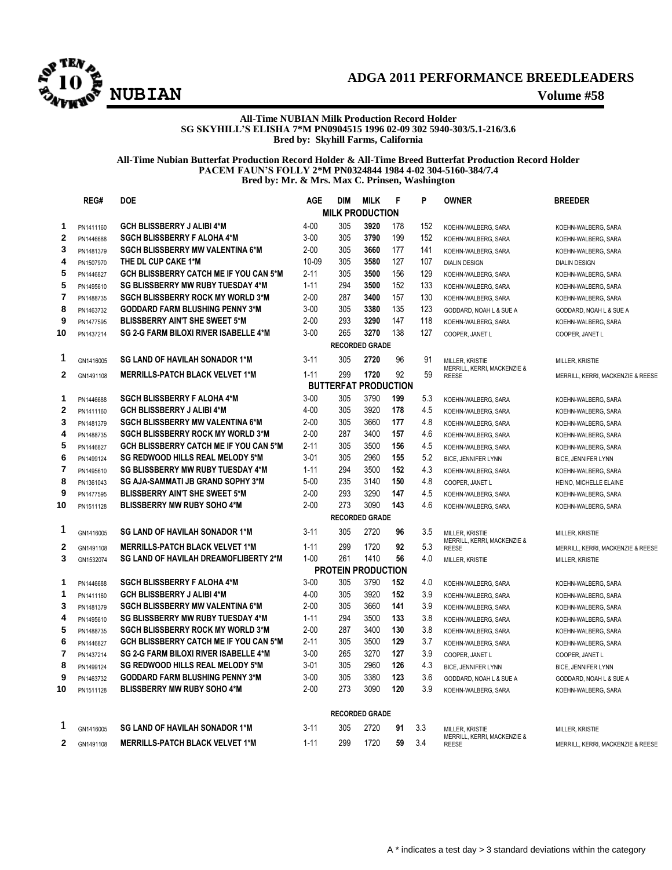

## **ADGA 2011 PERFORMANCE BREEDLEADERS NUBIAN Volume #58**

#### **All-Time NUBIAN Milk Production Record Holder SG SKYHILL'S ELISHA 7\*M PN0904515 1996 02-09 302 5940-303/5.1-216/3.6 Bred by: Skyhill Farms, California**

### **All-Time Nubian Butterfat Production Record Holder & All-Time Breed Butterfat Production Record Holder PACEM FAUN'S FOLLY 2\*M PN0324844 1984 4-02 304-5160-384/7.4 Bred by: Mr. & Mrs. Max C. Prinsen, Washington**

|                | REG#                  | <b>DOE</b>                                    | <b>AGE</b> | <b>DIM</b>             | <b>MILK</b>           | F   | P   | <b>OWNER</b>                                           | <b>BREEDER</b>                    |  |  |  |
|----------------|-----------------------|-----------------------------------------------|------------|------------------------|-----------------------|-----|-----|--------------------------------------------------------|-----------------------------------|--|--|--|
|                |                       |                                               |            | <b>MILK PRODUCTION</b> |                       |     |     |                                                        |                                   |  |  |  |
| 1              | PN1411160             | <b>GCH BLISSBERRY J ALIBI 4*M</b>             | $4 - 00$   | 305                    | 3920                  | 178 | 152 | KOEHN-WALBERG, SARA                                    | KOEHN-WALBERG, SARA               |  |  |  |
| $\mathbf{2}$   | PN1446688             | <b>SGCH BLISSBERRY F ALOHA 4*M</b>            | $3 - 00$   | 305                    | 3790                  | 199 | 152 | KOEHN-WALBERG, SARA                                    | KOEHN-WALBERG, SARA               |  |  |  |
| 3              | PN1481379             | <b>SGCH BLISSBERRY MW VALENTINA 6*M</b>       | $2 - 00$   | 305                    | 3660                  | 177 | 141 | KOEHN-WALBERG, SARA                                    | KOEHN-WALBERG, SARA               |  |  |  |
| 4              | PN1507970             | THE DL CUP CAKE 1*M                           | 10-09      | 305                    | 3580                  | 127 | 107 | <b>DIALIN DESIGN</b>                                   | <b>DIALIN DESIGN</b>              |  |  |  |
| 5              | PN1446827             | <b>GCH BLISSBERRY CATCH ME IF YOU CAN 5*M</b> | $2 - 11$   | 305                    | 3500                  | 156 | 129 | KOEHN-WALBERG, SARA                                    | KOEHN-WALBERG, SARA               |  |  |  |
| 5              | PN1495610             | <b>SG BLISSBERRY MW RUBY TUESDAY 4*M</b>      | $1 - 11$   | 294                    | 3500                  | 152 | 133 | KOEHN-WALBERG, SARA                                    | KOEHN-WALBERG, SARA               |  |  |  |
| $\overline{7}$ | PN1488735             | <b>SGCH BLISSBERRY ROCK MY WORLD 3*M</b>      | $2 - 00$   | 287                    | 3400                  | 157 | 130 | KOEHN-WALBERG, SARA                                    | KOEHN-WALBERG, SARA               |  |  |  |
| 8              | PN1463732             | <b>GODDARD FARM BLUSHING PENNY 3*M</b>        | $3-00$     | 305                    | 3380                  | 135 | 123 | GODDARD, NOAH L & SUE A                                | GODDARD, NOAH L & SUE A           |  |  |  |
| 9              | PN1477595             | <b>BLISSBERRY AIN'T SHE SWEET 5*M</b>         | $2 - 00$   | 293                    | 3290                  | 147 | 118 | KOEHN-WALBERG, SARA                                    | KOEHN-WALBERG, SARA               |  |  |  |
| 10             | PN1437214             | <b>SG 2-G FARM BILOXI RIVER ISABELLE 4*M</b>  | $3 - 00$   | 265                    | 3270                  | 138 | 127 | COOPER, JANET L                                        | COOPER, JANET L                   |  |  |  |
|                | <b>RECORDED GRADE</b> |                                               |            |                        |                       |     |     |                                                        |                                   |  |  |  |
| 1              | GN1416005             | <b>SG LAND OF HAVILAH SONADOR 1*M</b>         | $3 - 11$   | 305                    | 2720                  | 96  | 91  | <b>MILLER, KRISTIE</b>                                 | MILLER. KRISTIE                   |  |  |  |
| $\mathbf{2}$   | GN1491108             | <b>MERRILLS-PATCH BLACK VELVET 1*M</b>        | $1 - 11$   | 299                    | 1720                  | 92  | 59  | MERRILL, KERRI, MACKENZIE &<br><b>REESE</b>            | MERRILL, KERRI, MACKENZIE & REESE |  |  |  |
|                |                       |                                               |            | <b>BUTTERFAT</b>       | <b>PRODUCTION</b>     |     |     |                                                        |                                   |  |  |  |
| 1              | PN1446688             | <b>SGCH BLISSBERRY F ALOHA 4*M</b>            | $3 - 00$   | 305                    | 3790                  | 199 | 5.3 | KOEHN-WALBERG, SARA                                    | KOEHN-WALBERG, SARA               |  |  |  |
| $\overline{2}$ | PN1411160             | <b>GCH BLISSBERRY J ALIBI 4*M</b>             | $4 - 00$   | 305                    | 3920                  | 178 | 4.5 | KOEHN-WALBERG, SARA                                    | KOEHN-WALBERG, SARA               |  |  |  |
| 3              | PN1481379             | <b>SGCH BLISSBERRY MW VALENTINA 6*M</b>       | $2 - 00$   | 305                    | 3660                  | 177 | 4.8 | KOEHN-WALBERG, SARA                                    | KOEHN-WALBERG, SARA               |  |  |  |
| 4              | PN1488735             | <b>SGCH BLISSBERRY ROCK MY WORLD 3*M</b>      | $2 - 00$   | 287                    | 3400                  | 157 | 4.6 | KOEHN-WALBERG, SARA                                    | KOEHN-WALBERG, SARA               |  |  |  |
| 5              | PN1446827             | <b>GCH BLISSBERRY CATCH ME IF YOU CAN 5*M</b> | $2 - 11$   | 305                    | 3500                  | 156 | 4.5 | KOEHN-WALBERG, SARA                                    | KOEHN-WALBERG, SARA               |  |  |  |
| 6              | PN1499124             | <b>SG REDWOOD HILLS REAL MELODY 5*M</b>       | $3 - 01$   | 305                    | 2960                  | 155 | 5.2 | <b>BICE, JENNIFER LYNN</b>                             | <b>BICE, JENNIFER LYNN</b>        |  |  |  |
| $\overline{7}$ | PN1495610             | <b>SG BLISSBERRY MW RUBY TUESDAY 4*M</b>      | $1 - 11$   | 294                    | 3500                  | 152 | 4.3 | KOEHN-WALBERG, SARA                                    | KOEHN-WALBERG, SARA               |  |  |  |
| 8              | PN1361043             | SG AJA-SAMMATI JB GRAND SOPHY 3*M             | $5 - 00$   | 235                    | 3140                  | 150 | 4.8 | COOPER, JANET L                                        | HEINO, MICHELLE ELAINE            |  |  |  |
| 9              | PN1477595             | <b>BLISSBERRY AIN'T SHE SWEET 5*M</b>         | $2 - 00$   | 293                    | 3290                  | 147 | 4.5 | KOEHN-WALBERG, SARA                                    | KOEHN-WALBERG, SARA               |  |  |  |
| 10             | PN1511128             | <b>BLISSBERRY MW RUBY SOHO 4*M</b>            | $2 - 00$   | 273                    | 3090                  | 143 | 4.6 | KOEHN-WALBERG, SARA                                    | KOEHN-WALBERG, SARA               |  |  |  |
|                |                       |                                               |            |                        | <b>RECORDED GRADE</b> |     |     |                                                        |                                   |  |  |  |
| 1              | GN1416005             | <b>SG LAND OF HAVILAH SONADOR 1*M</b>         | $3 - 11$   | 305                    | 2720                  | 96  | 3.5 | MILLER, KRISTIE<br>MERRILL, KERRI, MACKENZIE &         | MILLER. KRISTIE                   |  |  |  |
| $\mathbf{2}$   | GN1491108             | <b>MERRILLS-PATCH BLACK VELVET 1*M</b>        | $1 - 11$   | 299                    | 1720                  | 92  | 5.3 | <b>REESE</b>                                           | MERRILL, KERRI, MACKENZIE & REESE |  |  |  |
| 3              | GN1532074             | <b>SG LAND OF HAVILAH DREAMOFLIBERTY 2*M</b>  | $1 - 00$   | 261                    | 1410                  | 56  | 4.0 | MILLER, KRISTIE                                        | MILLER, KRISTIE                   |  |  |  |
|                |                       |                                               |            | PROTEIN PRODUCTION     |                       |     |     |                                                        |                                   |  |  |  |
| 1              | PN1446688             | <b>SGCH BLISSBERRY F ALOHA 4*M</b>            | $3 - 00$   | 305                    | 3790                  | 152 | 4.0 | KOEHN-WALBERG, SARA                                    | KOEHN-WALBERG, SARA               |  |  |  |
| 1              | PN1411160             | <b>GCH BLISSBERRY J ALIBI 4*M</b>             | $4 - 00$   | 305                    | 3920                  | 152 | 3.9 | KOEHN-WALBERG, SARA                                    | KOEHN-WALBERG, SARA               |  |  |  |
| 3              | PN1481379             | <b>SGCH BLISSBERRY MW VALENTINA 6*M</b>       | $2 - 00$   | 305                    | 3660                  | 141 | 3.9 | KOEHN-WALBERG, SARA                                    | KOEHN-WALBERG, SARA               |  |  |  |
| 4              | PN1495610             | <b>SG BLISSBERRY MW RUBY TUESDAY 4*M</b>      | $1 - 11$   | 294                    | 3500                  | 133 | 3.8 | KOEHN-WALBERG, SARA                                    | KOEHN-WALBERG, SARA               |  |  |  |
| 5              | PN1488735             | <b>SGCH BLISSBERRY ROCK MY WORLD 3*M</b>      | $2 - 00$   | 287                    | 3400                  | 130 | 3.8 | KOEHN-WALBERG, SARA                                    | KOEHN-WALBERG, SARA               |  |  |  |
| 6              | PN1446827             | <b>GCH BLISSBERRY CATCH ME IF YOU CAN 5*M</b> | $2 - 11$   | 305                    | 3500                  | 129 | 3.7 | KOEHN-WALBERG, SARA                                    | KOEHN-WALBERG, SARA               |  |  |  |
| 7              | PN1437214             | SG 2-G FARM BILOXI RIVER ISABELLE 4*M         | $3-00$     | 265                    | 3270                  | 127 | 3.9 | COOPER, JANET L                                        | COOPER, JANET L                   |  |  |  |
| 8              | PN1499124             | <b>SG REDWOOD HILLS REAL MELODY 5*M</b>       | $3 - 01$   | 305                    | 2960                  | 126 | 4.3 | <b>BICE, JENNIFER LYNN</b>                             | <b>BICE, JENNIFER LYNN</b>        |  |  |  |
| 9              | PN1463732             | <b>GODDARD FARM BLUSHING PENNY 3*M</b>        | $3 - 00$   | 305                    | 3380                  | 123 | 3.6 | GODDARD, NOAH L & SUE A                                | GODDARD, NOAH L & SUE A           |  |  |  |
| 10             | PN1511128             | <b>BLISSBERRY MW RUBY SOHO 4*M</b>            | $2 - 00$   | 273                    | 3090                  | 120 | 3.9 | KOEHN-WALBERG, SARA                                    | KOEHN-WALBERG, SARA               |  |  |  |
|                | <b>RECORDED GRADE</b> |                                               |            |                        |                       |     |     |                                                        |                                   |  |  |  |
| 1              | GN1416005             | <b>SG LAND OF HAVILAH SONADOR 1*M</b>         | $3 - 11$   | 305                    | 2720                  | 91  | 3.3 | <b>MILLER, KRISTIE</b>                                 | <b>MILLER, KRISTIE</b>            |  |  |  |
| $\mathbf{2}$   | GN1491108             | <b>MERRILLS-PATCH BLACK VELVET 1*M</b>        | $1 - 11$   | 299                    | 1720                  | 59  | 3.4 | <b>MERRILL, KERRI, MACKENZIE &amp;</b><br><b>REESE</b> | MERRILL, KERRI, MACKENZIE & REESE |  |  |  |
|                |                       |                                               |            |                        |                       |     |     |                                                        |                                   |  |  |  |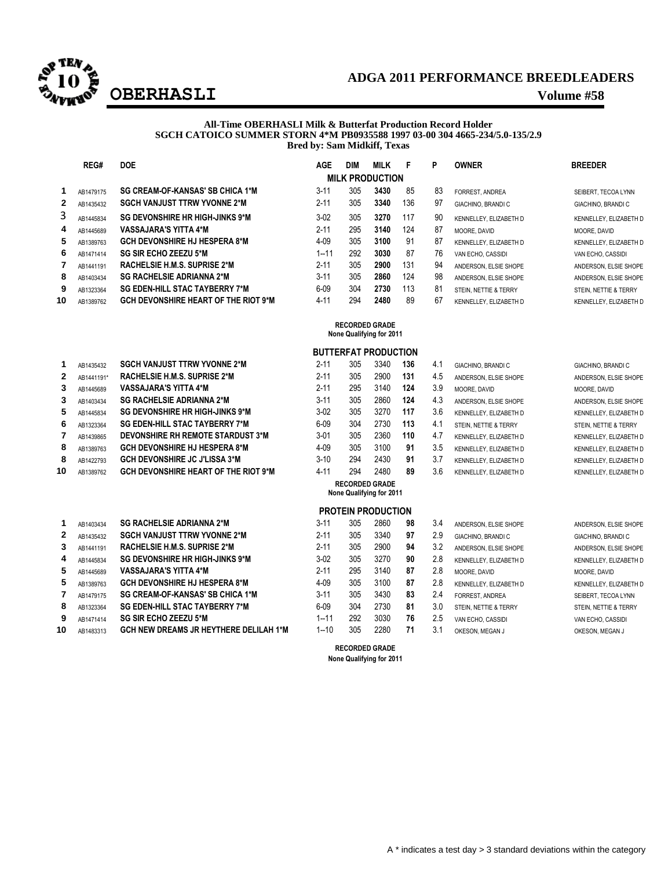

## **ADGA 2011 PERFORMANCE BREEDLEADERS OBERHASLI Volume #58**

#### **All-Time OBERHASLI Milk & Butterfat Production Record Holder SGCH CATOICO SUMMER STORN 4\*M PB0935588 1997 03-00 304 4665-234/5.0-135/2.9 Bred by: Sam Midkiff, Texas**

|    | REG#                                              | <b>DOE</b>                                  | <b>AGE</b> | DIM | <b>MILK</b>                 | F   | P   | <b>OWNER</b>           | <b>BREEDER</b>         |  |  |
|----|---------------------------------------------------|---------------------------------------------|------------|-----|-----------------------------|-----|-----|------------------------|------------------------|--|--|
|    |                                                   |                                             |            |     | <b>MILK PRODUCTION</b>      |     |     |                        |                        |  |  |
| 1  | AB1479175                                         | SG CREAM-OF-KANSAS' SB CHICA 1*M            | $3 - 11$   | 305 | 3430                        | 85  | 83  | FORREST. ANDREA        | SEIBERT, TECOA LYNN    |  |  |
| 2  | AB1435432                                         | <b>SGCH VANJUST TTRW YVONNE 2*M</b>         | $2 - 11$   | 305 | 3340                        | 136 | 97  | GIACHINO, BRANDI C     | GIACHINO, BRANDI C     |  |  |
| 3  | AB1445834                                         | <b>SG DEVONSHIRE HR HIGH-JINKS 9*M</b>      | $3-02$     | 305 | 3270                        | 117 | 90  | KENNELLEY, ELIZABETH D | KENNELLEY, ELIZABETH D |  |  |
| 4  | AB1445689                                         | <b>VASSAJARA'S YITTA 4*M</b>                | $2 - 11$   | 295 | 3140                        | 124 | 87  | MOORE, DAVID           | MOORE, DAVID           |  |  |
| 5  | AB1389763                                         | <b>GCH DEVONSHIRE HJ HESPERA 8*M</b>        | $4 - 09$   | 305 | 3100                        | 91  | 87  | KENNELLEY, ELIZABETH D | KENNELLEY, ELIZABETH D |  |  |
| 6  | AB1471414                                         | <b>SG SIR ECHO ZEEZU 5*M</b>                | $1 - 11$   | 292 | 3030                        | 87  | 76  | VAN ECHO, CASSIDI      | VAN ECHO, CASSIDI      |  |  |
| 7  | AB1441191                                         | RACHELSIE H.M.S. SUPRISE 2*M                | $2 - 11$   | 305 | 2900                        | 131 | 94  | ANDERSON, ELSIE SHOPE  | ANDERSON, ELSIE SHOPE  |  |  |
| 8  | AB1403434                                         | <b>SG RACHELSIE ADRIANNA 2*M</b>            | $3 - 11$   | 305 | 2860                        | 124 | 98  | ANDERSON, ELSIE SHOPE  | ANDERSON, ELSIE SHOPE  |  |  |
| 9  | AB1323364                                         | <b>SG EDEN-HILL STAC TAYBERRY 7*M</b>       | $6 - 09$   | 304 | 2730                        | 113 | 81  | STEIN. NETTIE & TERRY  | STEIN, NETTIE & TERRY  |  |  |
| 10 | AB1389762                                         | <b>GCH DEVONSHIRE HEART OF THE RIOT 9*M</b> | $4 - 11$   | 294 | 2480                        | 89  | 67  | KENNELLEY, ELIZABETH D | KENNELLEY, ELIZABETH D |  |  |
|    | <b>RECORDED GRADE</b><br>None Qualifying for 2011 |                                             |            |     |                             |     |     |                        |                        |  |  |
|    |                                                   |                                             |            |     | <b>BUTTERFAT PRODUCTION</b> |     |     |                        |                        |  |  |
|    | AB1435432                                         | <b>SGCH VANJUST TTRW YVONNE 2*M</b>         | $2 - 11$   | 305 | 3340                        | 136 | 4.1 | GIACHINO, BRANDI C     | GIACHINO, BRANDI C     |  |  |

|              | AB1435432  | <b>OULD VANJUOI IIKW IVUNNEZ M</b>     | Z-11     | งบว | <b>JJ4U</b> | 190 | 4.1 | GIACHINO. BRANDI C     | GIACHINO, BRA       |
|--------------|------------|----------------------------------------|----------|-----|-------------|-----|-----|------------------------|---------------------|
| $\mathbf{2}$ | AB1441191* | RACHELSIE H.M.S. SUPRISE 2*M           | $2 - 11$ | 305 | 2900        | 131 | 4.5 | ANDERSON. ELSIE SHOPE  | ANDERSON, EL        |
| 3            | AB1445689  | <b>VASSAJARA'S YITTA 4*M</b>           | $2 - 11$ | 295 | 3140        | 124 | 3.9 | MOORE, DAVID           | MOORE, DAVID        |
| 3            | AB1403434  | <b>SG RACHELSIE ADRIANNA 2*M</b>       | $3 - 11$ | 305 | 2860        | 124 | 4.3 | ANDERSON, ELSIE SHOPE  | ANDERSON, EL        |
| 5.           | AB1445834  | <b>SG DEVONSHIRE HR HIGH-JINKS 9*M</b> | $3-02$   | 305 | 3270        | 117 | 3.6 | KENNELLEY, ELIZABETH D | <b>KENNELLEY, E</b> |
| 6            | AB1323364  | <b>SG EDEN-HILL STAC TAYBERRY 7*M</b>  | $6 - 09$ | 304 | 2730        | 113 | 4.1 | STEIN. NETTIE & TERRY  | STEIN, NETTIE       |
|              | AB1439865  | DEVONSHIRE RH REMOTE STARDUST 3*M      | $3 - 01$ | 305 | 2360        | 110 | 4.7 | KENNELLEY, ELIZABETH D | KENNELLEY, E        |
| 8            | AB1389763  | <b>GCH DEVONSHIRE HJ HESPERA 8*M</b>   | $4 - 09$ | 305 | 3100        | 91  | 3.5 | KENNELLEY, ELIZABETH D | KENNELLEY, EI       |
| 8            | AB1422793  | <b>GCH DEVONSHIRE JC J'LISSA 3*M</b>   | $3 - 10$ | 294 | 2430        | 91  | 3.7 | KENNELLEY, ELIZABETH D | <b>KENNELLEY, E</b> |

AB1389762 **GCH DEVONSHIRE HEART OF THE RIOT 9\*M** 4-11 294 2480 **89** 3.6 KENNELLEY, ELIZABETH D KENNELLEY, ELIZABETH D

|    | AB1403434 | <b>3U RAUNELOIE AURIANNA Z M</b>              | - 11     | ასე | zoou | ง๐ | -0.4 | ANDERSON. ELSIE SHOPE  | ANDERSON, EL  |
|----|-----------|-----------------------------------------------|----------|-----|------|----|------|------------------------|---------------|
|    | AB1435432 | <b>SGCH VANJUST TTRW YVONNE 2*M</b>           | $2 - 11$ | 305 | 3340 | 97 | 2.9  | GIACHINO, BRANDI C     | GIACHINO, BRA |
| 3  | AB1441191 | RACHELSIE H.M.S. SUPRISE 2*M                  | $2 - 11$ | 305 | 2900 | 94 | 3.2  | ANDERSON. ELSIE SHOPE  | ANDERSON, EL  |
| 4  | AB1445834 | <b>SG DEVONSHIRE HR HIGH-JINKS 9*M</b>        | $3-02$   | 305 | 3270 | 90 | 2.8  | KENNELLEY. ELIZABETH D | KENNELLEY, E  |
| 5  | AB1445689 | <b>VASSAJARA'S YITTA 4*M</b>                  | $2 - 11$ | 295 | 3140 | 87 | 2.8  | MOORE, DAVID           | MOORE, DAVID  |
| 5  | AB1389763 | <b>GCH DEVONSHIRE HJ HESPERA 8*M</b>          | $4 - 09$ | 305 | 3100 | 87 | 2.8  | KENNELLEY. ELIZABETH D | KENNELLEY, E  |
|    | AB1479175 | SG CREAM-OF-KANSAS' SB CHICA 1*M              | $3 - 11$ | 305 | 3430 | 83 | 2.4  | FORREST, ANDREA        | SEIBERT, TECO |
| 8  | AB1323364 | <b>SG EDEN-HILL STAC TAYBERRY 7*M</b>         | $6 - 09$ | 304 | 2730 | 81 | 3.0  | STEIN. NETTIE & TERRY  | STEIN, NETTIE |
| 9  | AB1471414 | <b>SG SIR ECHO ZEEZU 5*M</b>                  | 1--11    | 292 | 3030 | 76 | 2.5  | VAN ECHO, CASSIDI      | VAN ECHO, CA  |
| 10 | AB1483313 | <b>GCH NEW DREAMS JR HEYTHERE DELILAH 1*M</b> | 1--10    | 305 | 2280 | 71 | 3.1  | OKESON. MEGAN J        | OKESON, MEG.  |

|     |          |     |      |     |     | .                      | .                      |
|-----|----------|-----|------|-----|-----|------------------------|------------------------|
|     | $2 - 11$ | 305 | 2900 | 131 | 4.5 | ANDERSON. ELSIE SHOPE  | ANDERSON, ELSIE SHOPE  |
|     | $2 - 11$ | 295 | 3140 | 124 | 3.9 | MOORE, DAVID           | MOORE, DAVID           |
|     | $3 - 11$ | 305 | 2860 | 124 | 4.3 | ANDERSON. ELSIE SHOPE  | ANDERSON, ELSIE SHOPE  |
|     | $3-02$   | 305 | 3270 | 117 | 3.6 | KENNELLEY. ELIZABETH D | KENNELLEY, ELIZABETH D |
|     | $6-09$   | 304 | 2730 | 113 | 4.1 | STEIN. NETTIE & TERRY  | STEIN, NETTIE & TERRY  |
| M   | $3 - 01$ | 305 | 2360 | 110 | 4.7 | KENNELLEY. ELIZABETH D | KENNELLEY, ELIZABETH D |
|     | $4 - 09$ | 305 | 3100 | 91  | 3.5 | KENNELLEY, ELIZABETH D | KENNELLEY, ELIZABETH D |
|     | $3-10$   | 294 | 2430 | 91  | 3.7 | KENNELLEY, ELIZABETH D | KENNELLEY, ELIZABETH D |
| 9*M | $4 - 11$ | 294 | 2480 | 89  | 3.6 | KENNELLEY, ELIZABETH D | KENNELLEY, ELIZABETH D |
|     |          |     |      |     |     |                        |                        |

**RECORDED GRADE None Qualifying for 2011**

## **PROTEIN PRODUCTION**

| 1            | AB1403434 | <b>SG RACHELSIE ADRIANNA 2*M</b>         | $3 - 11$ | 305 | 2860 | 98 | 3.4 | ANDERSON. ELSIE SHOPE  |
|--------------|-----------|------------------------------------------|----------|-----|------|----|-----|------------------------|
| $\mathbf{2}$ | AB1435432 | <b>SGCH VANJUST TTRW YVONNE 2*M</b>      | $2 - 11$ | 305 | 3340 | 97 | 2.9 | GIACHINO, BRANDI C     |
| 3            | AB1441191 | RACHELSIE H.M.S. SUPRISE 2*M             | $2 - 11$ | 305 | 2900 | 94 | 3.2 | ANDERSON. ELSIE SHOPE  |
| 4            | AB1445834 | <b>SG DEVONSHIRE HR HIGH-JINKS 9*M</b>   | $3-02$   | 305 | 3270 | 90 | 2.8 | KENNELLEY, ELIZABETH D |
| 5            | AB1445689 | <b>VASSAJARA'S YITTA 4*M</b>             | $2 - 11$ | 295 | 3140 | 87 | 2.8 | MOORE, DAVID           |
| 5            | AB1389763 | <b>GCH DEVONSHIRE HJ HESPERA 8*M</b>     | $4 - 09$ | 305 | 3100 | 87 | 2.8 | KENNELLEY, ELIZABETH D |
| 7            | AB1479175 | <b>SG CREAM-OF-KANSAS' SB CHICA 1*M</b>  | $3 - 11$ | 305 | 3430 | 83 | 2.4 | FORREST. ANDREA        |
| 8            | AB1323364 | <b>SG EDEN-HILL STAC TAYBERRY 7*M</b>    | $6 - 09$ | 304 | 2730 | 81 | 3.0 | STEIN. NETTIE & TERRY  |
| 9            | AB1471414 | <b>SG SIR ECHO ZEEZU 5*M</b>             | $1 - 11$ | 292 | 3030 | 76 | 2.5 | VAN ECHO, CASSIDI      |
| Û            |           | CCU NEW DREAMS ID LEVTLEDE DELIL ALL 4*M | 1.10     | つのに | າາວດ | 74 | 24  |                        |

## GIACHINO, BRANDI C ANDERSON, ELSIE SHOPE KENNELLEY, ELIZABETH D KENNELLEY, ELIZABETH D AB1479175 **SG CREAM-OF-KANSAS' SB CHICA 1\*M** 3-11 305 3430 **83** 2.4 FORREST, ANDREA SEIBERT, TECOA LYNN AB1323364 **SG EDEN-HILL STAC TAYBERRY 7\*M** 6-09 304 2730 **81** 3.0 STEIN, NETTIE & TERRY STEIN, NETTIE & TERRY  $9-5$  VAN ECHO, CASSIDI

| ANDERSON, ELSIE SHOPE  |
|------------------------|
| GIACHINO, BRANDI C     |
| ANDERSON, ELSIE SHOPE  |
| KENNELLEY, ELIZABETH D |
| MOORE, DAVID           |
| KENNELLEY. ELIZABETH D |
| SEIBERT. TECOA LYNN    |
| STEIN. NETTIE & TERRY  |
| VAN ECHO, CASSIDI      |
| OKESON. MEGAN J        |
|                        |

**RECORDED GRADE None Qualifying for 2011**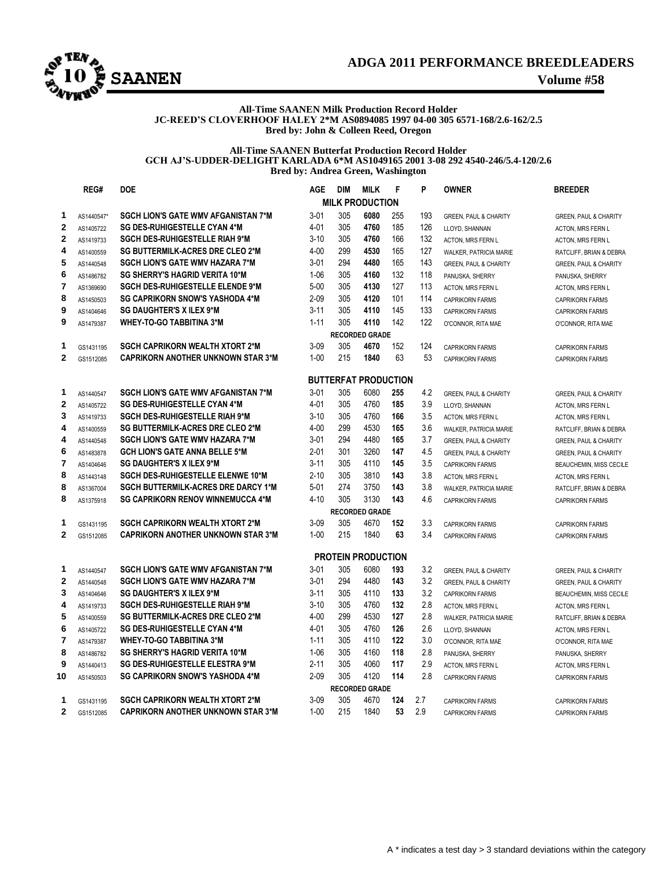

## **ADGA 2011 PERFORMANCE BREEDLEADERS**

#### **All-Time SAANEN Milk Production Record Holder JC-REED'S CLOVERHOOF HALEY 2\*M AS0894085 1997 04-00 305 6571-168/2.6-162/2.5 Bred by: John & Colleen Reed, Oregon**

#### **All-Time SAANEN Butterfat Production Record Holder GCH AJ'S-UDDER-DELIGHT KARLADA 6\*M AS1049165 2001 3-08 292 4540-246/5.4-120/2.6 Bred by: Andrea Green, Washington**

|                | REG#       | <b>DOE</b>                                 | <b>AGE</b> | <b>DIM</b> | <b>MILK</b>                 | F   | P   | <b>OWNER</b>                     | <b>BREEDER</b>                   |
|----------------|------------|--------------------------------------------|------------|------------|-----------------------------|-----|-----|----------------------------------|----------------------------------|
|                |            |                                            |            |            | <b>MILK PRODUCTION</b>      |     |     |                                  |                                  |
| 1              | AS1440547* | <b>SGCH LION'S GATE WMV AFGANISTAN 7*M</b> | $3 - 01$   | 305        | 6080                        | 255 | 193 | <b>GREEN, PAUL &amp; CHARITY</b> | <b>GREEN, PAUL &amp; CHARITY</b> |
| $\overline{2}$ | AS1405722  | SG DES-RUHIGESTELLE CYAN 4*M               | $4 - 01$   | 305        | 4760                        | 185 | 126 | LLOYD, SHANNAN                   | ACTON, MRS FERN L                |
| $\overline{2}$ | AS1419733  | <b>SGCH DES-RUHIGESTELLE RIAH 9*M</b>      | $3 - 10$   | 305        | 4760                        | 166 | 132 | ACTON, MRS FERN L                | ACTON, MRS FERN L                |
| 4              | AS1400559  | SG BUTTERMILK-ACRES DRE CLEO 2*M           | $4 - 00$   | 299        | 4530                        | 165 | 127 | WALKER, PATRICIA MARIE           | RATCLIFF, BRIAN & DEBRA          |
| 5              | AS1440548  | <b>SGCH LION'S GATE WMV HAZARA 7*M</b>     | $3 - 01$   | 294        | 4480                        | 165 | 143 | <b>GREEN, PAUL &amp; CHARITY</b> | GREEN, PAUL & CHARITY            |
| 6              | AS1486782  | <b>SG SHERRY'S HAGRID VERITA 10*M</b>      | $1 - 06$   | 305        | 4160                        | 132 | 118 | PANUSKA, SHERRY                  | PANUSKA, SHERRY                  |
| 7              | AS1369690  | <b>SGCH DES-RUHIGESTELLE ELENDE 9*M</b>    | $5 - 00$   | 305        | 4130                        | 127 | 113 | ACTON, MRS FERN L                | <b>ACTON, MRS FERN L</b>         |
| 8              | AS1450503  | <b>SG CAPRIKORN SNOW'S YASHODA 4*M</b>     | $2 - 09$   | 305        | 4120                        | 101 | 114 | <b>CAPRIKORN FARMS</b>           | <b>CAPRIKORN FARMS</b>           |
| 9              | AS1404646  | <b>SG DAUGHTER'S X ILEX 9*M</b>            | $3 - 11$   | 305        | 4110                        | 145 | 133 | <b>CAPRIKORN FARMS</b>           | <b>CAPRIKORN FARMS</b>           |
| 9              | AS1479387  | <b>WHEY-TO-GO TABBITINA 3*M</b>            | $1 - 11$   | 305        | 4110                        | 142 | 122 | O'CONNOR, RITA MAE               | O'CONNOR, RITA MAE               |
|                |            |                                            |            |            | <b>RECORDED GRADE</b>       |     |     |                                  |                                  |
| 1              | GS1431195  | <b>SGCH CAPRIKORN WEALTH XTORT 2*M</b>     | $3-09$     | 305        | 4670                        | 152 | 124 | <b>CAPRIKORN FARMS</b>           | <b>CAPRIKORN FARMS</b>           |
| $\overline{2}$ | GS1512085  | <b>CAPRIKORN ANOTHER UNKNOWN STAR 3*M</b>  | $1 - 00$   | 215        | 1840                        | 63  | 53  | <b>CAPRIKORN FARMS</b>           | <b>CAPRIKORN FARMS</b>           |
|                |            |                                            |            |            |                             |     |     |                                  |                                  |
|                |            |                                            |            |            | <b>BUTTERFAT PRODUCTION</b> |     |     |                                  |                                  |
| 1              | AS1440547  | <b>SGCH LION'S GATE WMV AFGANISTAN 7*M</b> | $3 - 01$   | 305        | 6080                        | 255 | 4.2 | <b>GREEN, PAUL &amp; CHARITY</b> | <b>GREEN, PAUL &amp; CHARITY</b> |
| $\overline{2}$ | AS1405722  | <b>SG DES-RUHIGESTELLE CYAN 4*M</b>        | $4 - 01$   | 305        | 4760                        | 185 | 3.9 | LLOYD, SHANNAN                   | <b>ACTON, MRS FERN L</b>         |
| 3              | AS1419733  | <b>SGCH DES-RUHIGESTELLE RIAH 9*M</b>      | $3 - 10$   | 305        | 4760                        | 166 | 3.5 | <b>ACTON, MRS FERN L</b>         | <b>ACTON. MRS FERN L</b>         |
| 4              | AS1400559  | <b>SG BUTTERMILK-ACRES DRE CLEO 2*M</b>    | $4 - 00$   | 299        | 4530                        | 165 | 3.6 | WALKER, PATRICIA MARIE           | RATCLIFF, BRIAN & DEBRA          |
| 4              | AS1440548  | <b>SGCH LION'S GATE WMV HAZARA 7*M</b>     | $3 - 01$   | 294        | 4480                        | 165 | 3.7 | <b>GREEN, PAUL &amp; CHARITY</b> | <b>GREEN, PAUL &amp; CHARITY</b> |
| 6              | AS1483878  | <b>GCH LION'S GATE ANNA BELLE 5*M</b>      | $2 - 01$   | 301        | 3260                        | 147 | 4.5 | <b>GREEN, PAUL &amp; CHARITY</b> | GREEN, PAUL & CHARITY            |
| $\overline{7}$ | AS1404646  | <b>SG DAUGHTER'S X ILEX 9*M</b>            | $3 - 11$   | 305        | 4110                        | 145 | 3.5 | <b>CAPRIKORN FARMS</b>           | BEAUCHEMIN, MISS CECILE          |
| 8              | AS1443148  | SGCH DES-RUHIGESTELLE ELENWE 10*M          | $2 - 10$   | 305        | 3810                        | 143 | 3.8 | ACTON, MRS FERN L                | ACTON, MRS FERN L                |
| 8              | AS1367004  | SGCH BUTTERMILK-ACRES DRE DARCY 1*M        | $5 - 01$   | 274        | 3750                        | 143 | 3.8 | WALKER, PATRICIA MARIE           | RATCLIFF, BRIAN & DEBRA          |
| 8              | AS1375918  | <b>SG CAPRIKORN RENOV WINNEMUCCA 4*M</b>   | $4 - 10$   | 305        | 3130                        | 143 | 4.6 | <b>CAPRIKORN FARMS</b>           | <b>CAPRIKORN FARMS</b>           |
|                |            |                                            |            |            | <b>RECORDED GRADE</b>       |     |     |                                  |                                  |
| 1              | GS1431195  | <b>SGCH CAPRIKORN WEALTH XTORT 2*M</b>     | $3-09$     | 305        | 4670                        | 152 | 3.3 | <b>CAPRIKORN FARMS</b>           | <b>CAPRIKORN FARMS</b>           |
| $\overline{2}$ | GS1512085  | <b>CAPRIKORN ANOTHER UNKNOWN STAR 3*M</b>  | $1 - 00$   | 215        | 1840                        | 63  | 3.4 | <b>CAPRIKORN FARMS</b>           | <b>CAPRIKORN FARMS</b>           |
|                |            |                                            |            |            | <b>PROTEIN PRODUCTION</b>   |     |     |                                  |                                  |
| 1              | AS1440547  | <b>SGCH LION'S GATE WMV AFGANISTAN 7*M</b> | $3 - 01$   | 305        | 6080                        | 193 | 3.2 | <b>GREEN, PAUL &amp; CHARITY</b> | <b>GREEN, PAUL &amp; CHARITY</b> |
| $\overline{2}$ | AS1440548  | <b>SGCH LION'S GATE WMV HAZARA 7*M</b>     | $3 - 01$   | 294        | 4480                        | 143 | 3.2 | <b>GREEN, PAUL &amp; CHARITY</b> | <b>GREEN, PAUL &amp; CHARITY</b> |
| 3              | AS1404646  | <b>SG DAUGHTER'S X ILEX 9*M</b>            | $3 - 11$   | 305        | 4110                        | 133 | 3.2 | <b>CAPRIKORN FARMS</b>           | BEAUCHEMIN, MISS CECILE          |
| 4              | AS1419733  | <b>SGCH DES-RUHIGESTELLE RIAH 9*M</b>      | $3 - 10$   | 305        | 4760                        | 132 | 2.8 | <b>ACTON, MRS FERN L</b>         | <b>ACTON. MRS FERN L</b>         |
| 5              | AS1400559  | <b>SG BUTTERMILK-ACRES DRE CLEO 2*M</b>    | $4 - 00$   | 299        | 4530                        | 127 | 2.8 | WALKER, PATRICIA MARIE           | RATCLIFF, BRIAN & DEBRA          |
| 6              | AS1405722  | <b>SG DES-RUHIGESTELLE CYAN 4*M</b>        | $4 - 01$   | 305        | 4760                        | 126 | 2.6 | LLOYD, SHANNAN                   | ACTON, MRS FERN L                |
| 7              | AS1479387  | <b>WHEY-TO-GO TABBITINA 3*M</b>            | $1 - 11$   | 305        | 4110                        | 122 | 3.0 | O'CONNOR, RITA MAE               | O'CONNOR, RITA MAE               |
| 8              | AS1486782  | <b>SG SHERRY'S HAGRID VERITA 10*M</b>      | $1 - 06$   | 305        | 4160                        | 118 | 2.8 | PANUSKA, SHERRY                  | PANUSKA, SHERRY                  |
| 9              | AS1440413  | <b>SG DES-RUHIGESTELLE ELESTRA 9*M</b>     | $2 - 11$   | 305        | 4060                        | 117 | 2.9 | ACTON, MRS FERN L                | ACTON, MRS FERN L                |
| 10             | AS1450503  | <b>SG CAPRIKORN SNOW'S YASHODA 4*M</b>     | $2 - 09$   | 305        | 4120                        | 114 | 2.8 | <b>CAPRIKORN FARMS</b>           | <b>CAPRIKORN FARMS</b>           |
|                |            |                                            |            |            | <b>RECORDED GRADE</b>       |     |     |                                  |                                  |
| 1              | GS1431195  | <b>SGCH CAPRIKORN WEALTH XTORT 2*M</b>     | $3 - 09$   | 305        | 4670                        | 124 | 2.7 | <b>CAPRIKORN FARMS</b>           | <b>CAPRIKORN FARMS</b>           |
| $\mathbf{2}$   | GS1512085  | <b>CAPRIKORN ANOTHER UNKNOWN STAR 3*M</b>  | $1 - 00$   | 215        | 1840                        | 53  | 2.9 | <b>CAPRIKORN FARMS</b>           | <b>CAPRIKORN FARMS</b>           |
|                |            |                                            |            |            |                             |     |     |                                  |                                  |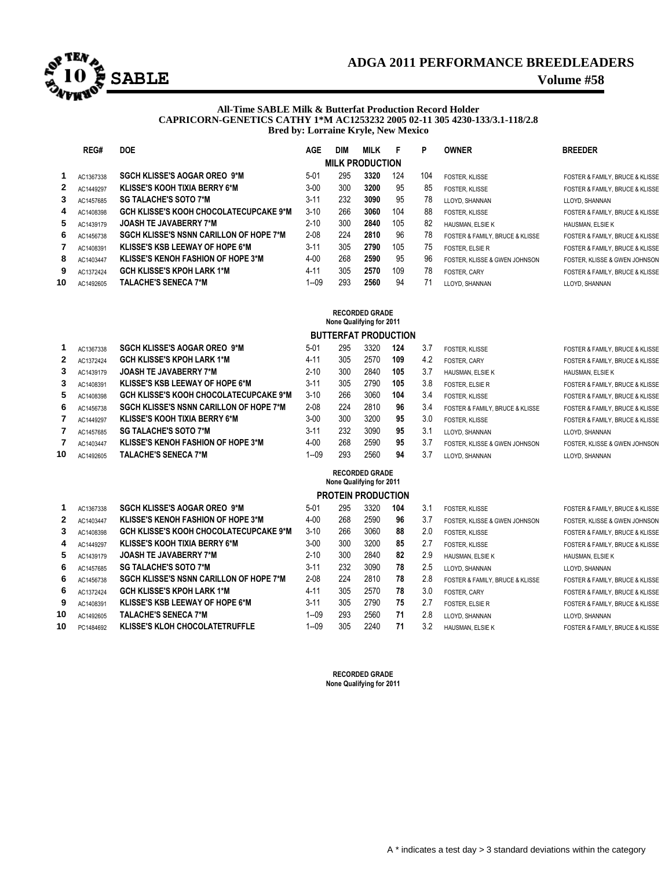

## **ADGA 2011 PERFORMANCE BREEDLEADERS**

#### **All-Time SABLE Milk & Butterfat Production Record Holder CAPRICORN-GENETICS CATHY 1\*M AC1253232 2005 02-11 305 4230-133/3.1-118/2.8 Bred by: Lorraine Kryle, New Mexico**

|                        | REG#                                              | <b>DOE</b>                                     | <b>AGE</b> | <b>DIM</b> | <b>MILK</b> | F   | P   | <b>OWNER</b>                    | <b>BREEDER</b>                  |  |  |  |
|------------------------|---------------------------------------------------|------------------------------------------------|------------|------------|-------------|-----|-----|---------------------------------|---------------------------------|--|--|--|
| <b>MILK PRODUCTION</b> |                                                   |                                                |            |            |             |     |     |                                 |                                 |  |  |  |
|                        | AC1367338                                         | <b>SGCH KLISSE'S AOGAR OREO 9*M</b>            | $5-01$     | 295        | 3320        | 124 | 104 | <b>FOSTER, KLISSE</b>           | FOSTER & FAMILY, BRUCE & KLISSE |  |  |  |
| 2                      | AC1449297                                         | KLISSE'S KOOH TIXIA BERRY 6*M                  | $3 - 00$   | 300        | 3200        | 95  | 85  | FOSTER. KLISSE                  | FOSTER & FAMILY, BRUCE & KLISSE |  |  |  |
| 3                      | AC1457685                                         | <b>SG TALACHE'S SOTO 7*M</b>                   | $3 - 11$   | 232        | 3090        | 95  | 78  | LLOYD, SHANNAN                  | LLOYD, SHANNAN                  |  |  |  |
| 4                      | AC1408398                                         | GCH KLISSE'S KOOH CHOCOLATECUPCAKE 9*M         | $3 - 10$   | 266        | 3060        | 104 | 88  | FOSTER. KLISSE                  | FOSTER & FAMILY, BRUCE & KLISSE |  |  |  |
| 5.                     | AC1439179                                         | <b>JOASH TE JAVABERRY 7*M</b>                  | $2 - 10$   | 300        | 2840        | 105 | 82  | HAUSMAN, ELSIE K                | HAUSMAN, ELSIE K                |  |  |  |
| 6                      | AC1456738                                         | <b>SGCH KLISSE'S NSNN CARILLON OF HOPE 7*M</b> | $2 - 08$   | 224        | 2810        | 96  | 78  | FOSTER & FAMILY, BRUCE & KLISSE | FOSTER & FAMILY, BRUCE & KLISSE |  |  |  |
|                        | AC1408391                                         | <b>KLISSE'S KSB LEEWAY OF HOPE 6*M</b>         | $3 - 11$   | 305        | 2790        | 105 | 75  | <b>FOSTER, ELSIE R</b>          | FOSTER & FAMILY, BRUCE & KLISSE |  |  |  |
| 8                      | AC1403447                                         | <b>KLISSE'S KENOH FASHION OF HOPE 3*M</b>      | $4 - 00$   | 268        | 2590        | 95  | 96  | FOSTER. KLISSE & GWEN JOHNSON   | FOSTER. KLISSE & GWEN JOHNSON   |  |  |  |
| 9                      | AC1372424                                         | <b>GCH KLISSE'S KPOH LARK 1*M</b>              | $4 - 11$   | 305        | 2570        | 109 | 78  | <b>FOSTER, CARY</b>             | FOSTER & FAMILY, BRUCE & KLISSE |  |  |  |
| 10                     | AC1492605                                         | <b>TALACHE'S SENECA 7*M</b>                    | $1 - 09$   | 293        | 2560        | 94  | 71  | LLOYD, SHANNAN                  | LLOYD, SHANNAN                  |  |  |  |
|                        |                                                   |                                                |            |            |             |     |     |                                 |                                 |  |  |  |
|                        | <b>RECORDED GRADE</b><br>Nana Oualifuing for 2011 |                                                |            |            |             |     |     |                                 |                                 |  |  |  |

## **None Qualifying for 2011**

|          | <b>BUTTERFAT PRODUCTION</b>                       |                                                                      |                      |            |                           |          |            |                                 |                                 |  |  |  |
|----------|---------------------------------------------------|----------------------------------------------------------------------|----------------------|------------|---------------------------|----------|------------|---------------------------------|---------------------------------|--|--|--|
| 1        | AC1367338                                         | <b>SGCH KLISSE'S AOGAR OREO 9*M</b>                                  | $5-01$               | 295        | 3320                      | 124      | 3.7        | <b>FOSTER, KLISSE</b>           | FOSTER & FAMILY, BRUCE & KLISSE |  |  |  |
| 2        | AC1372424                                         | <b>GCH KLISSE'S KPOH LARK 1*M</b>                                    | $4 - 11$             | 305        | 2570                      | 109      | 4.2        | <b>FOSTER, CARY</b>             | FOSTER & FAMILY, BRUCE & KLISSE |  |  |  |
| 3        | AC1439179                                         | <b>JOASH TE JAVABERRY 7*M</b>                                        | $2 - 10$             | 300        | 2840                      | 105      | 3.7        | HAUSMAN, ELSIE K                | HAUSMAN, ELSIE K                |  |  |  |
| 3        | AC1408391                                         | KLISSE'S KSB LEEWAY OF HOPE 6*M                                      | $3 - 11$             | 305        | 2790                      | 105      | 3.8        | <b>FOSTER, ELSIE R</b>          | FOSTER & FAMILY, BRUCE & KLISSE |  |  |  |
| 5        | AC1408398                                         | <b>GCH KLISSE'S KOOH CHOCOLATECUPCAKE 9*M</b>                        | $3 - 10$             | 266        | 3060                      | 104      | 3.4        | <b>FOSTER, KLISSE</b>           | FOSTER & FAMILY, BRUCE & KLISSE |  |  |  |
| 6        | AC1456738                                         | <b>SGCH KLISSE'S NSNN CARILLON OF HOPE 7*M</b>                       | $2 - 08$             | 224        | 2810                      | 96       | 3.4        | FOSTER & FAMILY, BRUCE & KLISSE | FOSTER & FAMILY, BRUCE & KLISSE |  |  |  |
| 7        | AC1449297                                         | <b>KLISSE'S KOOH TIXIA BERRY 6*M</b>                                 | $3 - 00$             | 300        | 3200                      | 95       | 3.0        | <b>FOSTER, KLISSE</b>           | FOSTER & FAMILY, BRUCE & KLISSE |  |  |  |
| 7        | AC1457685                                         | <b>SG TALACHE'S SOTO 7*M</b>                                         | $3 - 11$             | 232        | 3090                      | 95       | 3.1        | LLOYD, SHANNAN                  | LLOYD, SHANNAN                  |  |  |  |
| 7        | AC1403447                                         | <b>KLISSE'S KENOH FASHION OF HOPE 3*M</b>                            | $4 - 00$             | 268        | 2590                      | 95       | 3.7        | FOSTER. KLISSE & GWEN JOHNSON   | FOSTER. KLISSE & GWEN JOHNSON   |  |  |  |
| 10       | AC1492605                                         | <b>TALACHE'S SENECA 7*M</b>                                          | $1 - 09$             | 293        | 2560                      | 94       | 3.7        | LLOYD, SHANNAN                  | LLOYD, SHANNAN                  |  |  |  |
|          | <b>RECORDED GRADE</b><br>None Qualifying for 2011 |                                                                      |                      |            |                           |          |            |                                 |                                 |  |  |  |
|          |                                                   |                                                                      |                      |            |                           |          |            |                                 |                                 |  |  |  |
|          |                                                   |                                                                      |                      |            | <b>PROTEIN PRODUCTION</b> |          |            |                                 |                                 |  |  |  |
|          | AC1367338                                         | <b>SGCH KLISSE'S AOGAR OREO 9*M</b>                                  | $5 - 01$             | 295        | 3320                      | 104      | 3.1        | <b>FOSTER, KLISSE</b>           | FOSTER & FAMILY, BRUCE & KLISSE |  |  |  |
| 2        | AC1403447                                         | <b>KLISSE'S KENOH FASHION OF HOPE 3*M</b>                            | $4 - 00$             | 268        | 2590                      | 96       | 3.7        | FOSTER. KLISSE & GWEN JOHNSON   | FOSTER. KLISSE & GWEN JOHNSON   |  |  |  |
| 3        | AC1408398                                         | <b>GCH KLISSE'S KOOH CHOCOLATECUPCAKE 9*M</b>                        | $3 - 10$             | 266        | 3060                      | 88       | 2.0        | <b>FOSTER, KLISSE</b>           | FOSTER & FAMILY, BRUCE & KLISSE |  |  |  |
| 4        | AC1449297                                         | <b>KLISSE'S KOOH TIXIA BERRY 6*M</b>                                 | $3 - 00$             | 300        | 3200                      | 85       | 2.7        | <b>FOSTER, KLISSE</b>           | FOSTER & FAMILY, BRUCE & KLISSE |  |  |  |
| 5        | AC1439179                                         | <b>JOASH TE JAVABERRY 7*M</b>                                        | $2 - 10$             | 300        | 2840                      | 82       | 2.9        | HAUSMAN, ELSIE K                | HAUSMAN, ELSIE K                |  |  |  |
| 6        | AC1457685                                         | <b>SG TALACHE'S SOTO 7*M</b>                                         | $3 - 11$             | 232        | 3090                      | 78       | 2.5        | LLOYD, SHANNAN                  | LLOYD, SHANNAN                  |  |  |  |
| 6        | AC1456738                                         | <b>SGCH KLISSE'S NSNN CARILLON OF HOPE 7*M</b>                       | $2 - 08$             | 224        | 2810                      | 78       | 2.8        | FOSTER & FAMILY, BRUCE & KLISSE | FOSTER & FAMILY, BRUCE & KLISSE |  |  |  |
| 6        | AC1372424                                         | <b>GCH KLISSE'S KPOH LARK 1*M</b>                                    | $4 - 11$             | 305        | 2570                      | 78       | 3.0        | <b>FOSTER, CARY</b>             | FOSTER & FAMILY, BRUCE & KLISSE |  |  |  |
| 9        | AC1408391                                         | <b>KLISSE'S KSB LEEWAY OF HOPE 6*M</b>                               | $3 - 11$             | 305        | 2790                      | 75       | 2.7        | FOSTER, ELSIE R                 | FOSTER & FAMILY, BRUCE & KLISSE |  |  |  |
| 10<br>10 | AC1492605                                         | <b>TALACHE'S SENECA 7*M</b><br><b>KLISSE'S KLOH CHOCOLATETRUFFLE</b> | $1 - 09$<br>$1 - 09$ | 293<br>305 | 2560<br>2240              | 71<br>71 | 2.8<br>3.2 | LLOYD, SHANNAN                  | LLOYD, SHANNAN                  |  |  |  |

- AC1492605 **TALACHE'S SENECA 7\*M** 1--09 293 2560 **71** 2.8 LLOYD, SHANNAN LLOYD, SHANNAN
- PC1484692 **KLISSE'S KLOH CHOCOLATETRUFFLE** 1--09 305 2240 **71** 3.2 HAUSMAN, ELSIE K FOSTER & FAMILY, BRUCE & KLISSE

**RECORDED GRADE None Qualifying for 2011**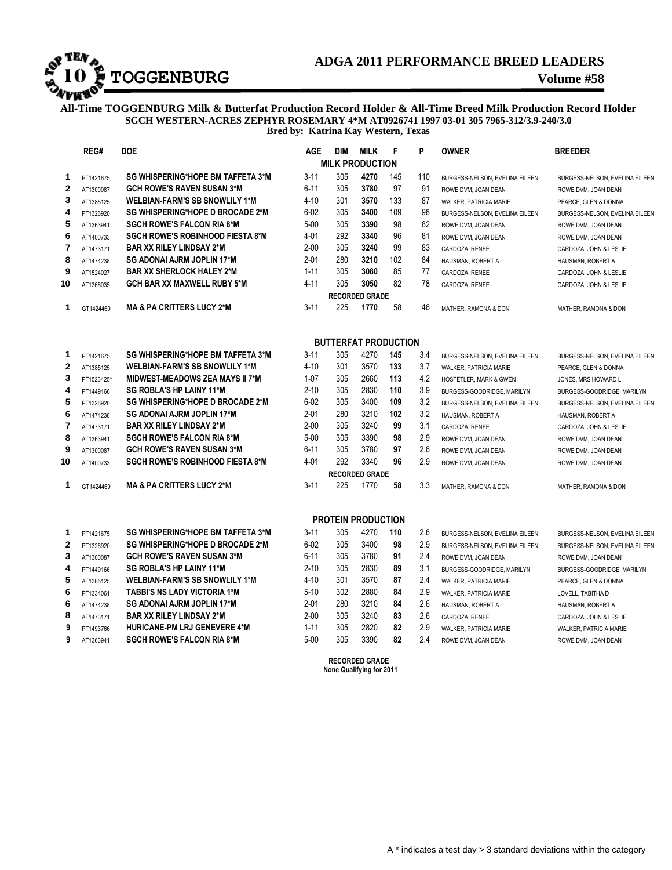# **ADGA 2011 PERFORMANCE BREED LEADERS**<br>**TOGGENBURG**<br>Volume #58

# **ADGA 2011 PERFORMANCE BREED LEADERS**

**All-Time TOGGENBURG Milk & Butterfat Production Record Holder & All-Time Breed Milk Production Record Holder SGCH WESTERN-ACRES ZEPHYR ROSEMARY 4\*M AT0926741 1997 03-01 305 7965-312/3.9-240/3.0 Bred by: Katrina Kay Western, Texas**

|                        | REG#       | <b>DOE</b>                               | <b>AGE</b> | <b>DIM</b> | <b>MILK</b>                 | F   | P   | <b>OWNER</b>                   | <b>BREEDER</b>                 |  |  |
|------------------------|------------|------------------------------------------|------------|------------|-----------------------------|-----|-----|--------------------------------|--------------------------------|--|--|
| <b>MILK PRODUCTION</b> |            |                                          |            |            |                             |     |     |                                |                                |  |  |
| 1                      | PT1421675  | SG WHISPERING*HOPE BM TAFFETA 3*M        | $3 - 11$   | 305        | 4270                        | 145 | 110 | BURGESS-NELSON, EVELINA EILEEN | BURGESS-NELSON, EVELINA EILEEN |  |  |
| $\overline{2}$         | AT1300087  | <b>GCH ROWE'S RAVEN SUSAN 3*M</b>        | $6 - 11$   | 305        | 3780                        | 97  | 91  | ROWE DVM, JOAN DEAN            | ROWE DVM, JOAN DEAN            |  |  |
| 3                      | AT1385125  | <b>WELBIAN-FARM'S SB SNOWLILY 1*M</b>    | $4 - 10$   | 301        | 3570                        | 133 | 87  | WALKER, PATRICIA MARIE         | PEARCE, GLEN & DONNA           |  |  |
| 4                      | PT1326920  | SG WHISPERING*HOPE D BROCADE 2*M         | $6 - 02$   | 305        | 3400                        | 109 | 98  | BURGESS-NELSON. EVELINA EILEEN | BURGESS-NELSON, EVELINA EILEEN |  |  |
| 5                      | AT1363941  | <b>SGCH ROWE'S FALCON RIA 8*M</b>        | $5 - 00$   | 305        | 3390                        | 98  | 82  | ROWE DVM, JOAN DEAN            | ROWE DVM, JOAN DEAN            |  |  |
| 6                      | AT1400733  | <b>SGCH ROWE'S ROBINHOOD FIESTA 8*M</b>  | 4-01       | 292        | 3340                        | 96  | 81  | ROWE DVM, JOAN DEAN            | ROWE DVM, JOAN DEAN            |  |  |
| 7                      | AT1473171  | <b>BAR XX RILEY LINDSAY 2*M</b>          | $2 - 00$   | 305        | 3240                        | 99  | 83  | CARDOZA, RENEE                 | CARDOZA, JOHN & LESLIE         |  |  |
| 8                      | AT1474238  | SG ADONAI AJRM JOPLIN 17*M               | $2 - 01$   | 280        | 3210                        | 102 | 84  | HAUSMAN, ROBERT A              | HAUSMAN, ROBERT A              |  |  |
| 9                      | AT1524027  | <b>BAR XX SHERLOCK HALEY 2*M</b>         | $1 - 11$   | 305        | 3080                        | 85  | 77  | CARDOZA, RENEE                 | CARDOZA, JOHN & LESLIE         |  |  |
| 10                     | AT1368035  | <b>GCH BAR XX MAXWELL RUBY 5*M</b>       | $4 - 11$   | 305        | 3050                        | 82  | 78  | CARDOZA, RENEE                 | CARDOZA, JOHN & LESLIE         |  |  |
|                        |            |                                          |            |            | <b>RECORDED GRADE</b>       |     |     |                                |                                |  |  |
| $\mathbf{1}$           | GT1424469  | <b>MA &amp; PA CRITTERS LUCY 2*M</b>     | $3 - 11$   | 225        | 1770                        | 58  | 46  | MATHER, RAMONA & DON           | MATHER, RAMONA & DON           |  |  |
|                        |            |                                          |            |            |                             |     |     |                                |                                |  |  |
|                        |            |                                          |            |            | <b>BUTTERFAT PRODUCTION</b> |     |     |                                |                                |  |  |
| 1                      | PT1421675  | <b>SG WHISPERING*HOPE BM TAFFETA 3*M</b> | $3 - 11$   | 305        | 4270                        | 145 | 3.4 | BURGESS-NELSON, EVELINA EILEEN | BURGESS-NELSON, EVELINA EILEEN |  |  |
| $\mathbf{2}$           | AT1385125  | <b>WELBIAN-FARM'S SB SNOWLILY 1*M</b>    | $4 - 10$   | 301        | 3570                        | 133 | 3.7 | WALKER, PATRICIA MARIE         | PEARCE, GLEN & DONNA           |  |  |
| 3                      | PT1523425* | <b>MIDWEST-MEADOWS ZEA MAYS II 7*M</b>   | $1 - 07$   | 305        | 2660                        | 113 | 4.2 | HOSTETLER, MARK & GWEN         | JONES, MRS HOWARD L            |  |  |
| 4                      | PT1449166  | <b>SG ROBLA'S HP LAINY 11*M</b>          | $2 - 10$   | 305        | 2830                        | 110 | 3.9 | BURGESS-GOODRIDGE, MARILYN     | BURGESS-GOODRIDGE, MARILYN     |  |  |
| 5                      | PT1326920  | <b>SG WHISPERING*HOPE D BROCADE 2*M</b>  | $6 - 02$   | 305        | 3400                        | 109 | 3.2 | BURGESS-NELSON, EVELINA EILEEN | BURGESS-NELSON, EVELINA EILEEN |  |  |
| 6                      | AT1474238  | <b>SG ADONAI AJRM JOPLIN 17*M</b>        | $2 - 01$   | 280        | 3210                        | 102 | 3.2 | HAUSMAN, ROBERT A              | HAUSMAN, ROBERT A              |  |  |
| 7                      | AT1473171  | <b>BAR XX RILEY LINDSAY 2*M</b>          | $2 - 00$   | 305        | 3240                        | 99  | 3.1 | CARDOZA, RENEE                 | CARDOZA, JOHN & LESLIE         |  |  |
| 8                      | AT1363941  | <b>SGCH ROWE'S FALCON RIA 8*M</b>        | $5 - 00$   | 305        | 3390                        | 98  | 2.9 | ROWE DVM, JOAN DEAN            | ROWE DVM, JOAN DEAN            |  |  |
| 9                      | AT1300087  | <b>GCH ROWE'S RAVEN SUSAN 3*M</b>        | $6 - 11$   | 305        | 3780                        | 97  | 2.6 | ROWE DVM, JOAN DEAN            | ROWE DVM, JOAN DEAN            |  |  |
| 10                     | AT1400733  | <b>SGCH ROWE'S ROBINHOOD FIESTA 8*M</b>  | $4 - 01$   | 292        | 3340                        | 96  | 2.9 | ROWE DVM, JOAN DEAN            | ROWE DVM, JOAN DEAN            |  |  |
|                        |            |                                          |            |            | <b>RECORDED GRADE</b>       |     |     |                                |                                |  |  |
| 1                      | GT1424469  | <b>MA &amp; PA CRITTERS LUCY 2*M</b>     | $3 - 11$   | 225        | 1770                        | 58  | 3.3 | MATHER, RAMONA & DON           | MATHER, RAMONA & DON           |  |  |
|                        |            |                                          |            |            |                             |     |     |                                |                                |  |  |
|                        |            |                                          |            |            | <b>PROTEIN PRODUCTION</b>   |     |     |                                |                                |  |  |
| 1                      | PT1421675  | SG WHISPERING*HOPE BM TAFFETA 3*M        | $3 - 11$   | 305        | 4270                        | 110 | 2.6 | BURGESS-NELSON, EVELINA EILEEN | BURGESS-NELSON, EVELINA EILEEN |  |  |
| $\mathbf 2$            | PT1326920  | SG WHISPERING*HOPE D BROCADE 2*M         | $6 - 02$   | 305        | 3400                        | 98  | 2.9 | BURGESS-NELSON, EVELINA EILEEN | BURGESS-NELSON, EVELINA EILEEN |  |  |
| 3                      | AT1300087  | <b>GCH ROWE'S RAVEN SUSAN 3*M</b>        | $6 - 11$   | 305        | 3780                        | 91  | 2.4 | ROWE DVM, JOAN DEAN            | ROWE DVM, JOAN DEAN            |  |  |
| 4                      | PT1449166  | <b>SG ROBLA'S HP LAINY 11*M</b>          | $2 - 10$   | 305        | 2830                        | 89  | 3.1 | BURGESS-GOODRIDGE, MARILYN     | BURGESS-GOODRIDGE, MARILYN     |  |  |
| 5                      | AT1385125  | <b>WELBIAN-FARM'S SB SNOWLILY 1*M</b>    | $4 - 10$   | 301        | 3570                        | 87  | 2.4 | WALKER, PATRICIA MARIE         | PEARCE, GLEN & DONNA           |  |  |
| 6                      | PT1334061  | <b>TABBI'S NS LADY VICTORIA 1*M</b>      | $5 - 10$   | 302        | 2880                        | 84  | 2.9 | WALKER, PATRICIA MARIE         | LOVELL, TABITHA D              |  |  |
| 6                      | AT1474238  | <b>SG ADONAI AJRM JOPLIN 17*M</b>        | $2 - 01$   | 280        | 3210                        | 84  | 2.6 | HAUSMAN, ROBERT A              | HAUSMAN, ROBERT A              |  |  |
| 8                      | AT1473171  | <b>BAR XX RILEY LINDSAY 2*M</b>          | $2 - 00$   | 305        | 3240                        | 83  | 2.6 | CARDOZA, RENEE                 | CARDOZA, JOHN & LESLIE         |  |  |
| 9                      | PT1493766  | <b>HURICANE-PM LRJ GENEVERE 4*M</b>      | $1 - 11$   | 305        | 2820                        | 82  | 2.9 | <b>WALKER, PATRICIA MARIE</b>  | WALKER, PATRICIA MARIE         |  |  |
| 9                      | AT1363941  | <b>SGCH ROWE'S FALCON RIA 8*M</b>        | $5 - 00$   | 305        | 3390                        | 82  | 2.4 | ROWE DVM, JOAN DEAN            | ROWE DVM, JOAN DEAN            |  |  |
|                        |            |                                          |            |            |                             |     |     |                                |                                |  |  |

 **RECORDED GRADE None Qualifying for 2011** 

A \* indicates a test day > 3 standard deviations within the category